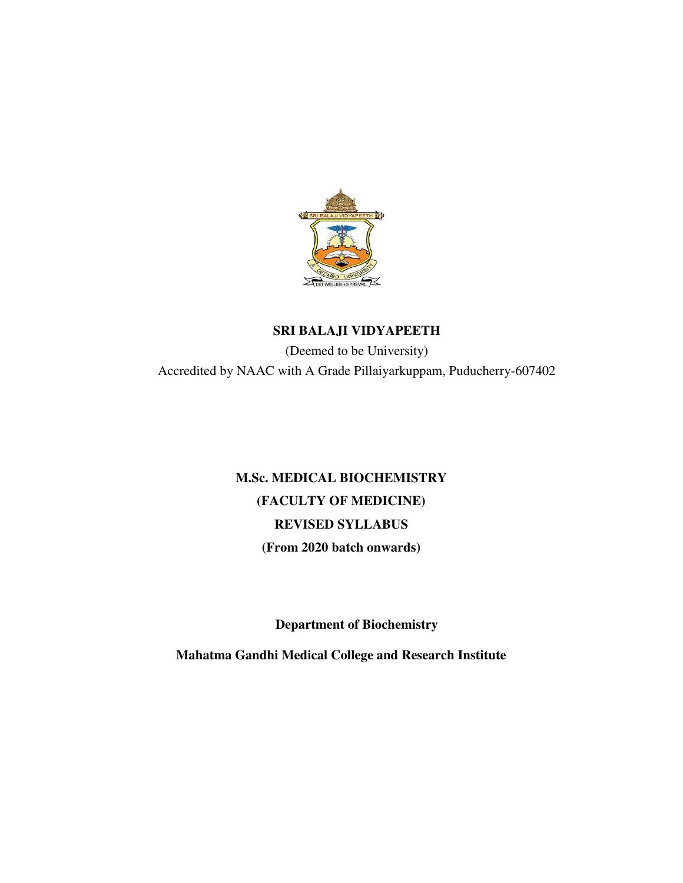

## **SRI BALAJI VIDYAPEETH**

(Deemed to be University) Accredited by NAAC with A Grade Pillaiyarkuppam, Puducherry-607402

# **M.Sc. MEDICAL BIOCHEMISTRY (FACULTY OF MEDICINE) REVISED SYLLABUS (From 2020 batch onwards)**

**Department of Biochemistry** 

**Mahatma Gandhi Medical College and Research Institute**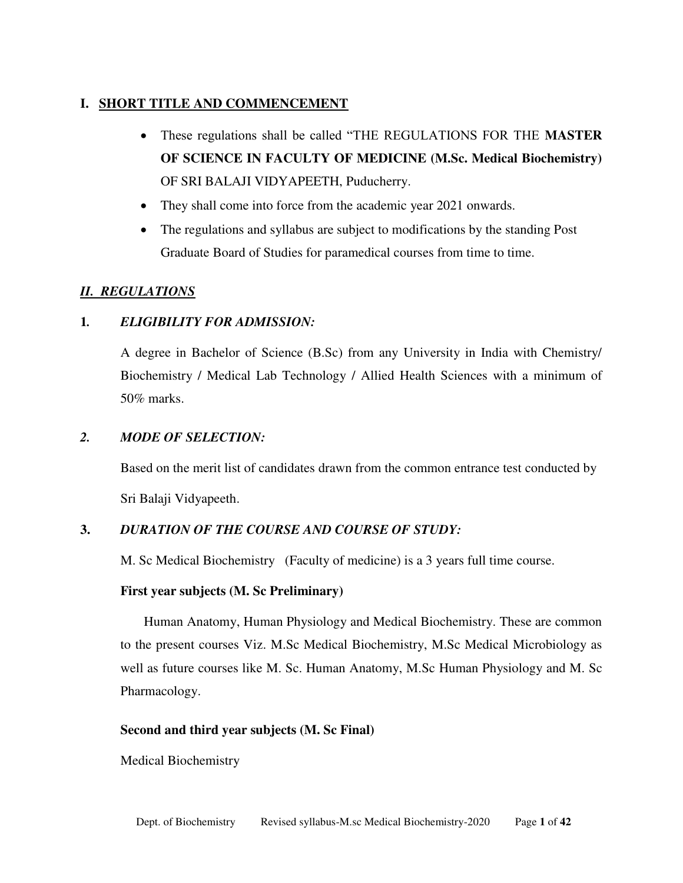## **I. SHORT TITLE AND COMMENCEMENT**

- These regulations shall be called "THE REGULATIONS FOR THE **MASTER OF SCIENCE IN FACULTY OF MEDICINE (M.Sc. Medical Biochemistry)**  OF SRI BALAJI VIDYAPEETH, Puducherry.
- They shall come into force from the academic year 2021 onwards.
- The regulations and syllabus are subject to modifications by the standing Post Graduate Board of Studies for paramedical courses from time to time.

## *II. REGULATIONS*

## **1***. ELIGIBILITY FOR ADMISSION:*

A degree in Bachelor of Science (B.Sc) from any University in India with Chemistry/ Biochemistry / Medical Lab Technology / Allied Health Sciences with a minimum of 50% marks.

## *2. MODE OF SELECTION:*

 Based on the merit list of candidates drawn from the common entrance test conducted by Sri Balaji Vidyapeeth.

## **3.** *DURATION OF THE COURSE AND COURSE OF STUDY:*

M. Sc Medical Biochemistry (Faculty of medicine) is a 3 years full time course.

## **First year subjects (M. Sc Preliminary)**

 Human Anatomy, Human Physiology and Medical Biochemistry. These are common to the present courses Viz. M.Sc Medical Biochemistry, M.Sc Medical Microbiology as well as future courses like M. Sc. Human Anatomy, M.Sc Human Physiology and M. Sc Pharmacology.

## **Second and third year subjects (M. Sc Final)**

Medical Biochemistry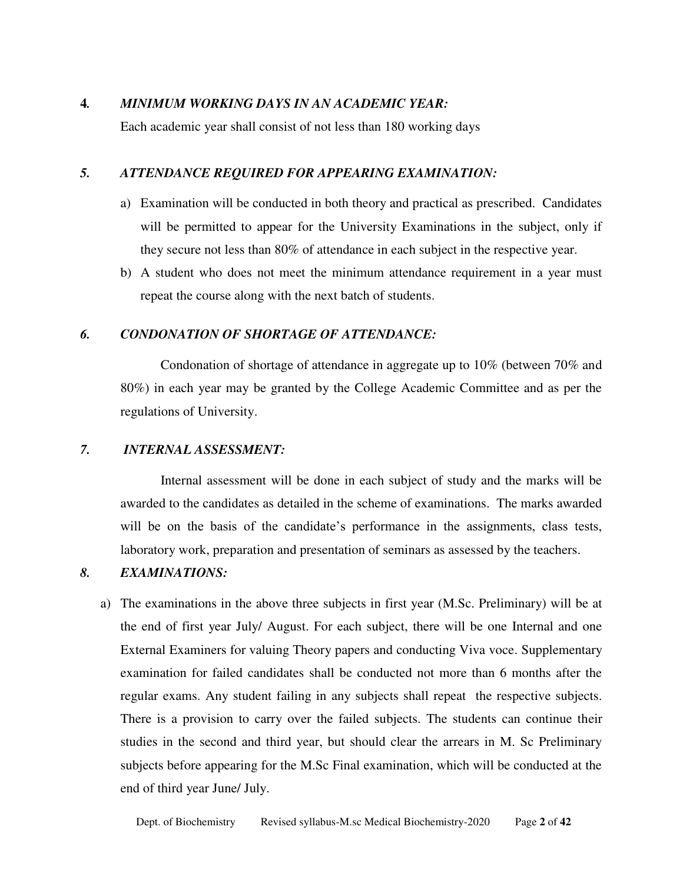#### **4***. MINIMUM WORKING DAYS IN AN ACADEMIC YEAR:*

Each academic year shall consist of not less than 180 working days

#### *5. ATTENDANCE REQUIRED FOR APPEARING EXAMINATION:*

- a) Examination will be conducted in both theory and practical as prescribed. Candidates will be permitted to appear for the University Examinations in the subject, only if they secure not less than 80% of attendance in each subject in the respective year.
- b) A student who does not meet the minimum attendance requirement in a year must repeat the course along with the next batch of students.

#### *6. CONDONATION OF SHORTAGE OF ATTENDANCE:*

Condonation of shortage of attendance in aggregate up to 10% (between 70% and 80%) in each year may be granted by the College Academic Committee and as per the regulations of University.

#### *7. INTERNAL ASSESSMENT:*

 Internal assessment will be done in each subject of study and the marks will be awarded to the candidates as detailed in the scheme of examinations. The marks awarded will be on the basis of the candidate's performance in the assignments, class tests, laboratory work, preparation and presentation of seminars as assessed by the teachers.

### *8. EXAMINATIONS:*

a) The examinations in the above three subjects in first year (M.Sc. Preliminary) will be at the end of first year July/ August. For each subject, there will be one Internal and one External Examiners for valuing Theory papers and conducting Viva voce. Supplementary examination for failed candidates shall be conducted not more than 6 months after the regular exams. Any student failing in any subjects shall repeat the respective subjects. There is a provision to carry over the failed subjects. The students can continue their studies in the second and third year, but should clear the arrears in M. Sc Preliminary subjects before appearing for the M.Sc Final examination, which will be conducted at the end of third year June/ July.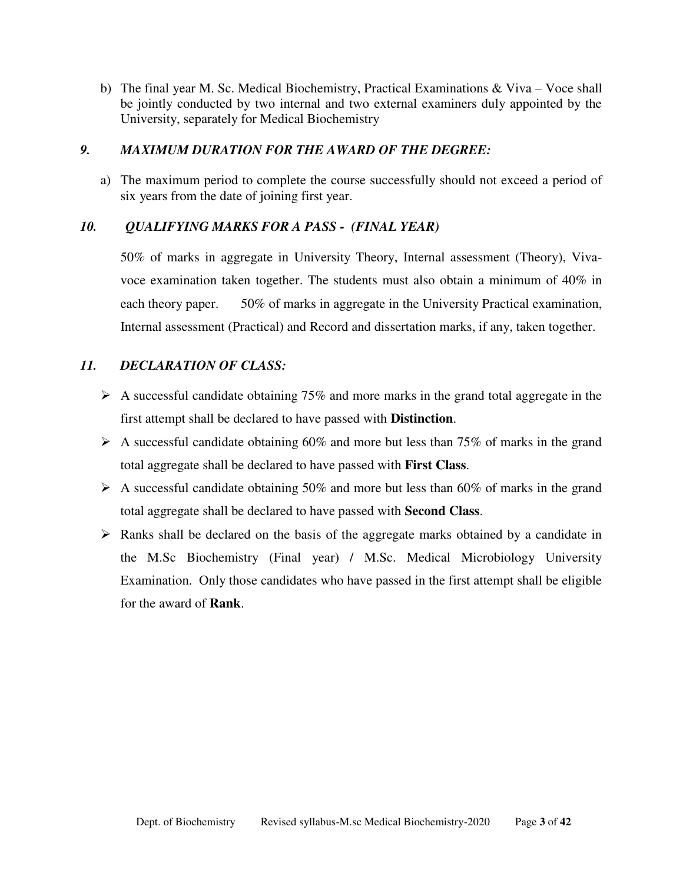b) The final year M. Sc. Medical Biochemistry, Practical Examinations  $\&$  Viva – Voce shall be jointly conducted by two internal and two external examiners duly appointed by the University, separately for Medical Biochemistry

#### *9. MAXIMUM DURATION FOR THE AWARD OF THE DEGREE:*

a) The maximum period to complete the course successfully should not exceed a period of six years from the date of joining first year.

## *10. QUALIFYING MARKS FOR A PASS - (FINAL YEAR)*

 50% of marks in aggregate in University Theory, Internal assessment (Theory), Vivavoce examination taken together. The students must also obtain a minimum of 40% in each theory paper. 50% of marks in aggregate in the University Practical examination, Internal assessment (Practical) and Record and dissertation marks, if any, taken together.

## *11. DECLARATION OF CLASS:*

- $\triangleright$  A successful candidate obtaining 75% and more marks in the grand total aggregate in the first attempt shall be declared to have passed with **Distinction**.
- $\triangleright$  A successful candidate obtaining 60% and more but less than 75% of marks in the grand total aggregate shall be declared to have passed with **First Class**.
- $\triangleright$  A successful candidate obtaining 50% and more but less than 60% of marks in the grand total aggregate shall be declared to have passed with **Second Class**.
- $\triangleright$  Ranks shall be declared on the basis of the aggregate marks obtained by a candidate in the M.Sc Biochemistry (Final year) / M.Sc. Medical Microbiology University Examination. Only those candidates who have passed in the first attempt shall be eligible for the award of **Rank**.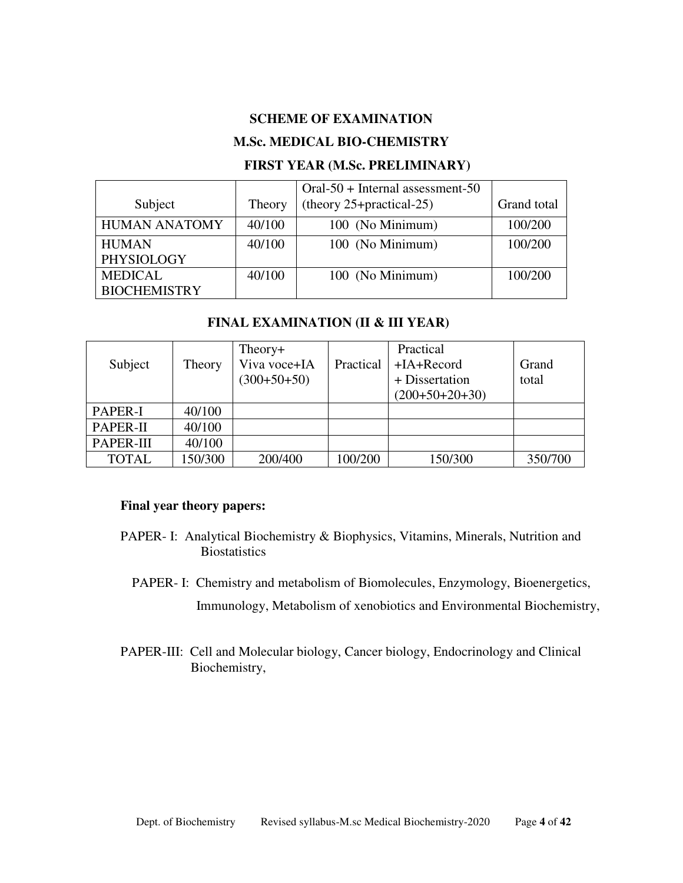#### **SCHEME OF EXAMINATION**

#### **M.Sc. MEDICAL BIO-CHEMISTRY**

## **FIRST YEAR (M.Sc. PRELIMINARY)**

|                      |        | $Oral-50 + Internal$ assessment-50   |             |
|----------------------|--------|--------------------------------------|-------------|
| Subject              | Theory | (theory $25 + \text{practical-}25$ ) | Grand total |
| <b>HUMAN ANATOMY</b> | 40/100 | 100 (No Minimum)                     | 100/200     |
| <b>HUMAN</b>         | 40/100 | 100 (No Minimum)                     | 100/200     |
| PHYSIOLOGY           |        |                                      |             |
| <b>MEDICAL</b>       | 40/100 | 100 (No Minimum)                     | 100/200     |
| <b>BIOCHEMISTRY</b>  |        |                                      |             |

#### **FINAL EXAMINATION (II & III YEAR)**

| Subject      | Theory  | Theory+<br>Viva voce+IA<br>$(300+50+50)$ | Practical | Practical<br>$+IA+Record$<br>+ Dissertation<br>$(200+50+20+30)$ | Grand<br>total |
|--------------|---------|------------------------------------------|-----------|-----------------------------------------------------------------|----------------|
| PAPER-I      | 40/100  |                                          |           |                                                                 |                |
| PAPER-II     | 40/100  |                                          |           |                                                                 |                |
| PAPER-III    | 40/100  |                                          |           |                                                                 |                |
| <b>TOTAL</b> | 150/300 | 200/400                                  | 100/200   | 150/300                                                         | 350/700        |

#### **Final year theory papers:**

- PAPER- I: Analytical Biochemistry & Biophysics, Vitamins, Minerals, Nutrition and **Biostatistics** 
	- PAPER- I: Chemistry and metabolism of Biomolecules, Enzymology, Bioenergetics, Immunology, Metabolism of xenobiotics and Environmental Biochemistry,
- PAPER-III: Cell and Molecular biology, Cancer biology, Endocrinology and Clinical Biochemistry,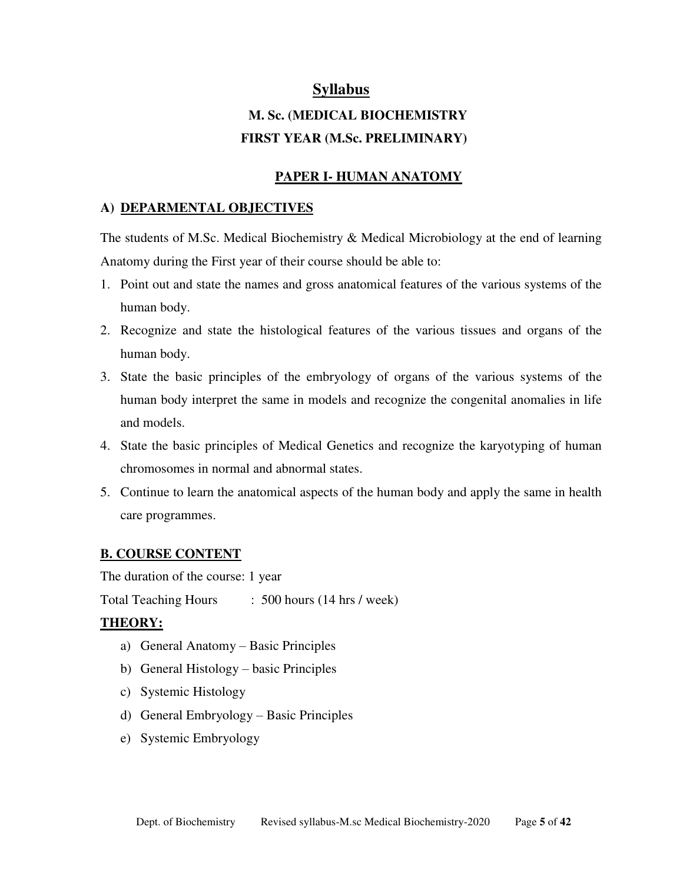## **Syllabus**

# **M. Sc. (MEDICAL BIOCHEMISTRY FIRST YEAR (M.Sc. PRELIMINARY)**

#### **PAPER I- HUMAN ANATOMY**

### **A) DEPARMENTAL OBJECTIVES**

The students of M.Sc. Medical Biochemistry & Medical Microbiology at the end of learning Anatomy during the First year of their course should be able to:

- 1. Point out and state the names and gross anatomical features of the various systems of the human body.
- 2. Recognize and state the histological features of the various tissues and organs of the human body.
- 3. State the basic principles of the embryology of organs of the various systems of the human body interpret the same in models and recognize the congenital anomalies in life and models.
- 4. State the basic principles of Medical Genetics and recognize the karyotyping of human chromosomes in normal and abnormal states.
- 5. Continue to learn the anatomical aspects of the human body and apply the same in health care programmes.

## **B. COURSE CONTENT**

The duration of the course: 1 year

Total Teaching Hours : 500 hours (14 hrs / week)

## **THEORY:**

- a) General Anatomy Basic Principles
- b) General Histology basic Principles
- c) Systemic Histology
- d) General Embryology Basic Principles
- e) Systemic Embryology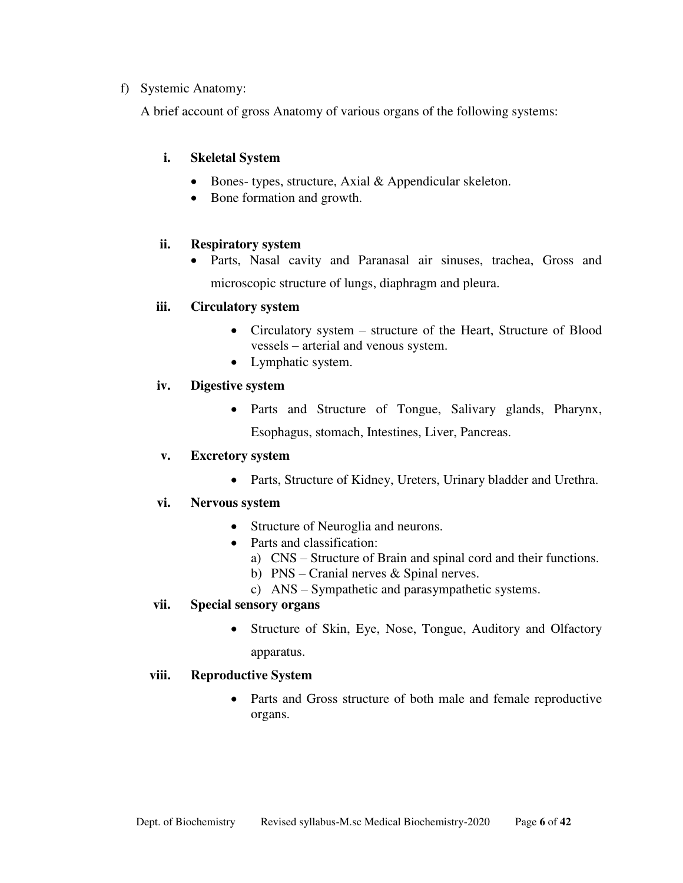### f) Systemic Anatomy:

A brief account of gross Anatomy of various organs of the following systems:

## **i. Skeletal System**

- Bones- types, structure, Axial & Appendicular skeleton.
- Bone formation and growth.

#### **ii. Respiratory system**

 Parts, Nasal cavity and Paranasal air sinuses, trachea, Gross and microscopic structure of lungs, diaphragm and pleura.

#### **iii. Circulatory system**

- Circulatory system structure of the Heart, Structure of Blood vessels – arterial and venous system.
- Lymphatic system.

#### **iv. Digestive system**

 Parts and Structure of Tongue, Salivary glands, Pharynx, Esophagus, stomach, Intestines, Liver, Pancreas.

#### **v. Excretory system**

Parts, Structure of Kidney, Ureters, Urinary bladder and Urethra.

#### **vi. Nervous system**

- Structure of Neuroglia and neurons.
- Parts and classification:
	- a) CNS Structure of Brain and spinal cord and their functions.
	- b) PNS Cranial nerves & Spinal nerves.
	- c) ANS Sympathetic and parasympathetic systems.

#### **vii. Special sensory organs**

• Structure of Skin, Eye, Nose, Tongue, Auditory and Olfactory apparatus.

#### **viii. Reproductive System**

 Parts and Gross structure of both male and female reproductive organs.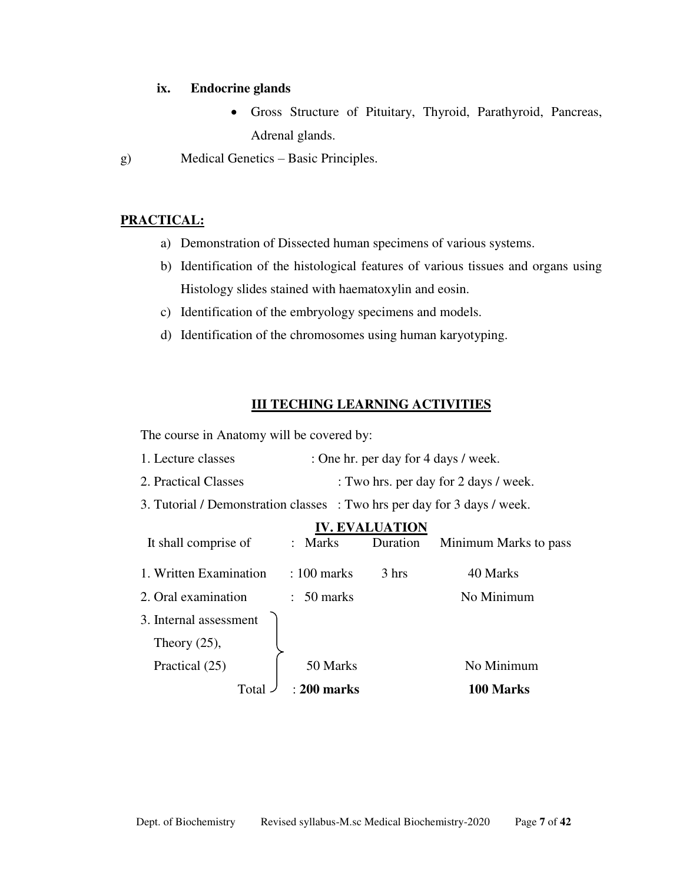#### **ix. Endocrine glands**

- Gross Structure of Pituitary, Thyroid, Parathyroid, Pancreas, Adrenal glands.
- g) Medical Genetics Basic Principles.

## **PRACTICAL:**

- a) Demonstration of Dissected human specimens of various systems.
- b) Identification of the histological features of various tissues and organs using Histology slides stained with haematoxylin and eosin.
- c) Identification of the embryology specimens and models.
- d) Identification of the chromosomes using human karyotyping.

### **III TECHING LEARNING ACTIVITIES**

The course in Anatomy will be covered by:

- 1. Lecture classes : One hr. per day for 4 days / week.
- 2. Practical Classes : Two hrs. per day for 2 days / week.

3. Tutorial / Demonstration classes : Two hrs per day for 3 days / week.

|                        |                            | <b>IV. EVALUATION</b> |                       |
|------------------------|----------------------------|-----------------------|-----------------------|
| It shall comprise of   | : Marks                    | Duration              | Minimum Marks to pass |
| 1. Written Examination | $: 100$ marks              | 3 hrs                 | 40 Marks              |
| 2. Oral examination    | 50 marks<br>$\ddot{\cdot}$ |                       | No Minimum            |
| 3. Internal assessment |                            |                       |                       |
| Theory $(25)$ ,        |                            |                       |                       |
| Practical (25)         | 50 Marks                   |                       | No Minimum            |
| Total                  | : 200 marks                |                       | 100 Marks             |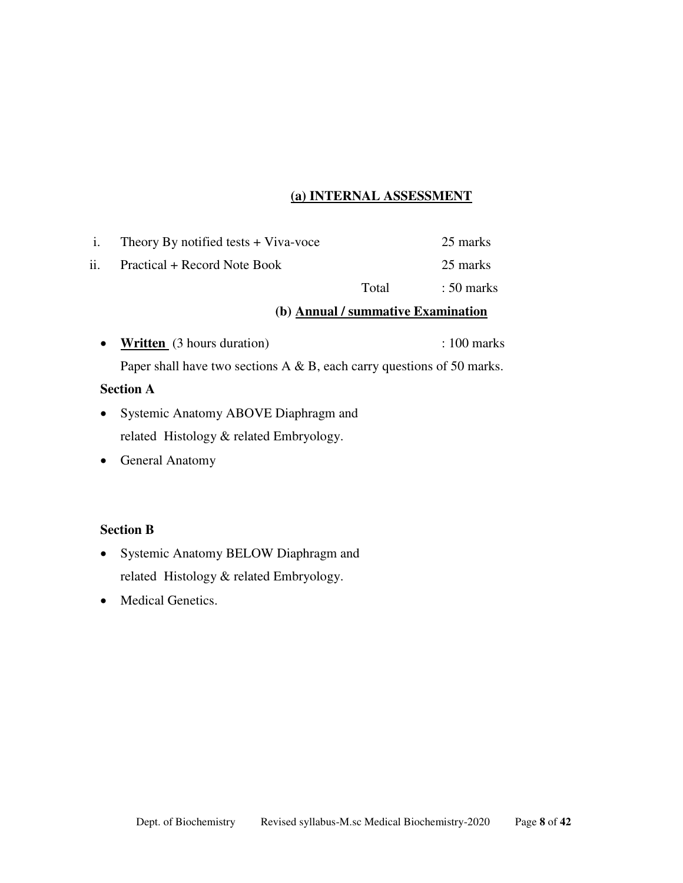## **(a) INTERNAL ASSESSMENT**

| $\mathbf{1}$ . | Theory By notified tests $+$ Viva-voce |       | 25 marks              |
|----------------|----------------------------------------|-------|-----------------------|
| ii.            | Practical + Record Note Book           |       | 25 marks              |
|                |                                        | Total | $\therefore$ 50 marks |

#### **(b) Annual / summative Examination**

• **Written** (3 hours duration) : 100 marks Paper shall have two sections A & B, each carry questions of 50 marks.

**Section A**

- Systemic Anatomy ABOVE Diaphragm and related Histology & related Embryology.
- General Anatomy

### **Section B**

- Systemic Anatomy BELOW Diaphragm and related Histology & related Embryology.
- Medical Genetics.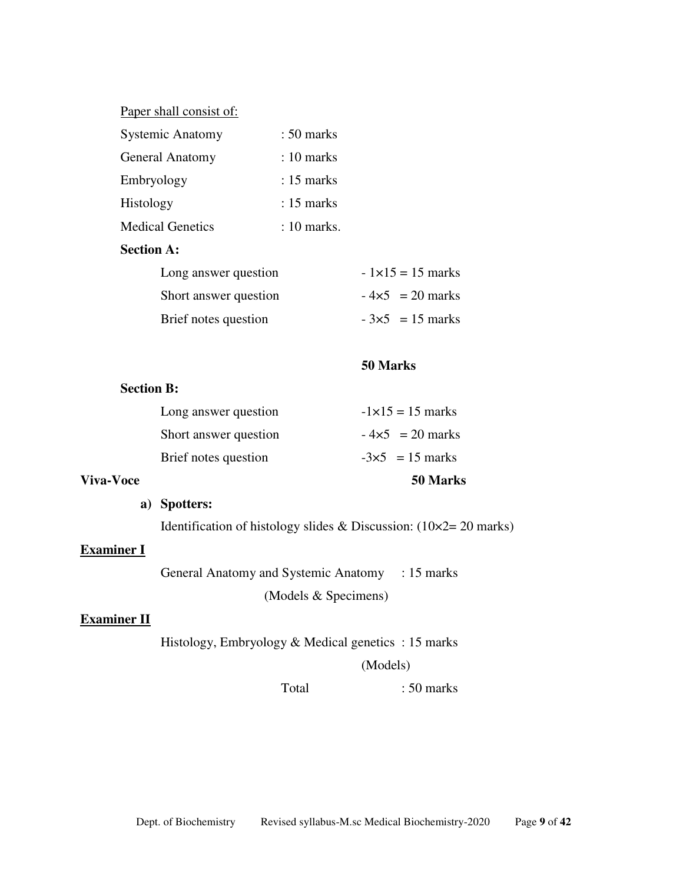### Paper shall consist of:

| <b>Systemic Anatomy</b> | $: 50$ marks |
|-------------------------|--------------|
| <b>General Anatomy</b>  | $: 10$ marks |
| Embryology              | $: 15$ marks |
| Histology               | $: 15$ marks |
| <b>Medical Genetics</b> | : 10 marks.  |

#### **Section A:**

| Long answer question  | $-1\times15 = 15$ marks |
|-----------------------|-------------------------|
| Short answer question | $-4\times5 = 20$ marks  |
| Brief notes question  | $-3\times5 = 15$ marks  |

#### **50 Marks**

#### **Section B:**

| Viva-Voce |                       | 50 Marks                  |
|-----------|-----------------------|---------------------------|
|           | Brief notes question  | $-3\times5 = 15$ marks    |
|           | Short answer question | $-4\times5 = 20$ marks    |
|           | Long answer question  | $-1 \times 15 = 15$ marks |

## **a) Spotters:**

Identification of histology slides & Discussion: (10×2= 20 marks)

## **Examiner I**

General Anatomy and Systemic Anatomy : 15 marks (Models & Specimens)

## **Examiner II**

Histology, Embryology & Medical genetics : 15 marks

(Models)

Total : 50 marks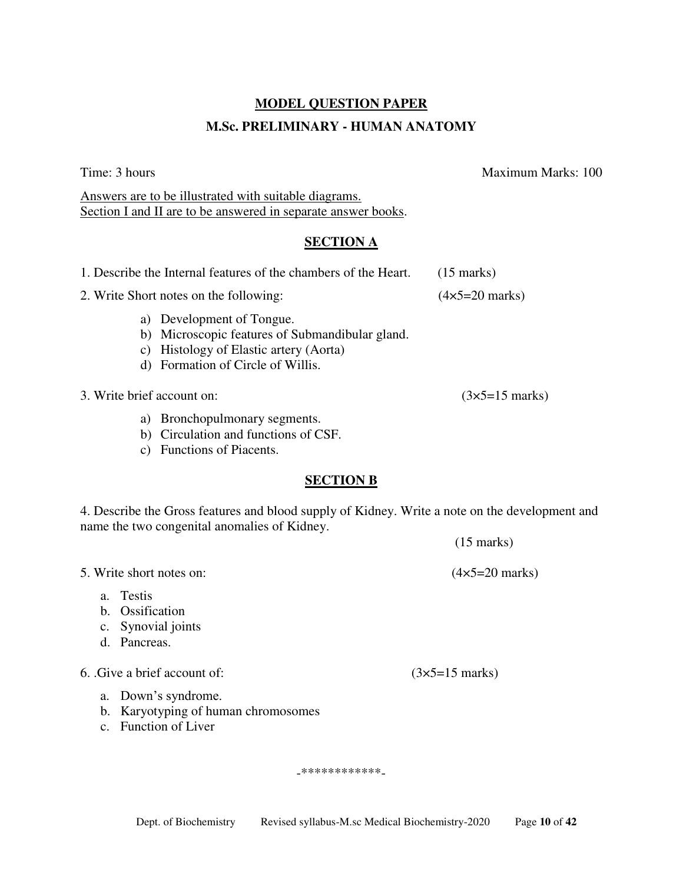### **MODEL QUESTION PAPER**

#### **M.Sc. PRELIMINARY - HUMAN ANATOMY**

Time: 3 hours Maximum Marks: 100

(15 marks)

Answers are to be illustrated with suitable diagrams. Section I and II are to be answered in separate answer books.

### **SECTION A**

| 1. Describe the Internal features of the chambers of the Heart.                                                                                             | $(15 \text{ marks})$          |
|-------------------------------------------------------------------------------------------------------------------------------------------------------------|-------------------------------|
| 2. Write Short notes on the following:                                                                                                                      | $(4\times5=20 \text{ marks})$ |
| a) Development of Tongue.<br>b) Microscopic features of Submandibular gland.<br>c) Histology of Elastic artery (Aorta)<br>d) Formation of Circle of Willis. |                               |
| 3. Write brief account on:                                                                                                                                  | $(3\times5=15 \text{ marks})$ |
| Bronchopulmonary segments.<br>a)<br>Circulation and functions of CSF.<br>b)                                                                                 |                               |

c) Functions of Piacents.

## **SECTION B**

4. Describe the Gross features and blood supply of Kidney. Write a note on the development and name the two congenital anomalies of Kidney.

5. Write short notes on: (4×5=20 marks)

- a. Testis
- b. Ossification
- c. Synovial joints
- d. Pancreas.

6. .Give a brief account of:  $(3 \times 5=15 \text{ marks})$ 

- a. Down's syndrome.
- b. Karyotyping of human chromosomes
- c. Function of Liver

-\*\*\*\*\*\*\*\*\*\*\*\*-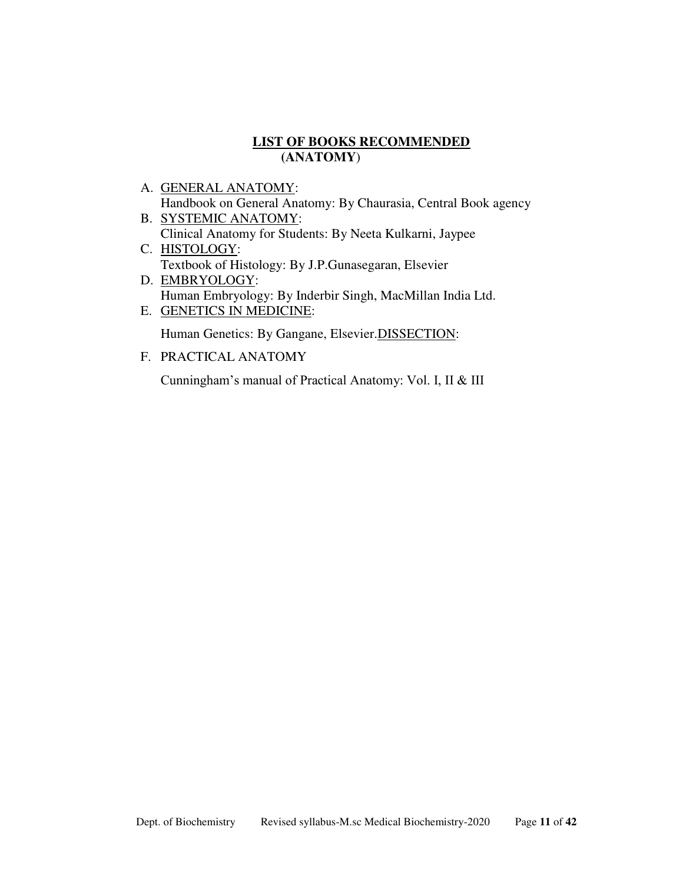## **LIST OF BOOKS RECOMMENDED (ANATOMY**)

- A. GENERAL ANATOMY: Handbook on General Anatomy: By Chaurasia, Central Book agency
- B. SYSTEMIC ANATOMY: Clinical Anatomy for Students: By Neeta Kulkarni, Jaypee
- C. HISTOLOGY: Textbook of Histology: By J.P.Gunasegaran, Elsevier
- D. EMBRYOLOGY: Human Embryology: By Inderbir Singh, MacMillan India Ltd. E. GENETICS IN MEDICINE:

Human Genetics: By Gangane, Elsevier. DISSECTION:

F. PRACTICAL ANATOMY

Cunningham's manual of Practical Anatomy: Vol. I, II & III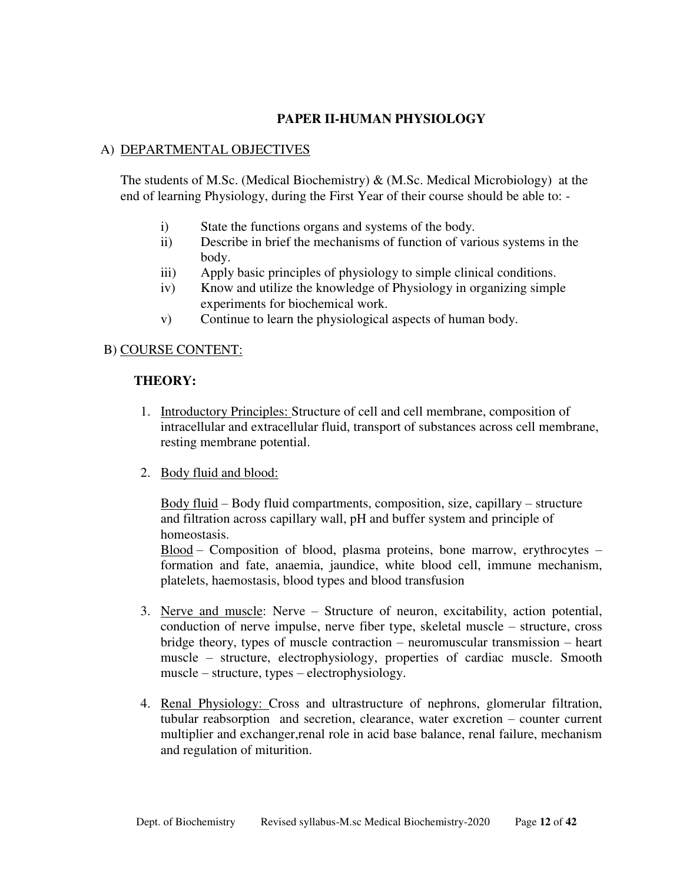## **PAPER II-HUMAN PHYSIOLOGY**

#### A) DEPARTMENTAL OBJECTIVES

The students of M.Sc. (Medical Biochemistry) & (M.Sc. Medical Microbiology) at the end of learning Physiology, during the First Year of their course should be able to: -

- i) State the functions organs and systems of the body.
- ii) Describe in brief the mechanisms of function of various systems in the body.
- iii) Apply basic principles of physiology to simple clinical conditions.
- iv) Know and utilize the knowledge of Physiology in organizing simple experiments for biochemical work.
- v) Continue to learn the physiological aspects of human body.

#### B) COURSE CONTENT:

#### **THEORY:**

- 1. Introductory Principles: Structure of cell and cell membrane, composition of intracellular and extracellular fluid, transport of substances across cell membrane, resting membrane potential.
- 2. Body fluid and blood:

Body fluid – Body fluid compartments, composition, size, capillary – structure and filtration across capillary wall, pH and buffer system and principle of homeostasis.

Blood – Composition of blood, plasma proteins, bone marrow, erythrocytes – formation and fate, anaemia, jaundice, white blood cell, immune mechanism, platelets, haemostasis, blood types and blood transfusion

- 3. Nerve and muscle: Nerve Structure of neuron, excitability, action potential, conduction of nerve impulse, nerve fiber type, skeletal muscle – structure, cross bridge theory, types of muscle contraction – neuromuscular transmission – heart muscle – structure, electrophysiology, properties of cardiac muscle. Smooth muscle – structure, types – electrophysiology.
- 4. Renal Physiology: Cross and ultrastructure of nephrons, glomerular filtration, tubular reabsorption and secretion, clearance, water excretion – counter current multiplier and exchanger,renal role in acid base balance, renal failure, mechanism and regulation of miturition.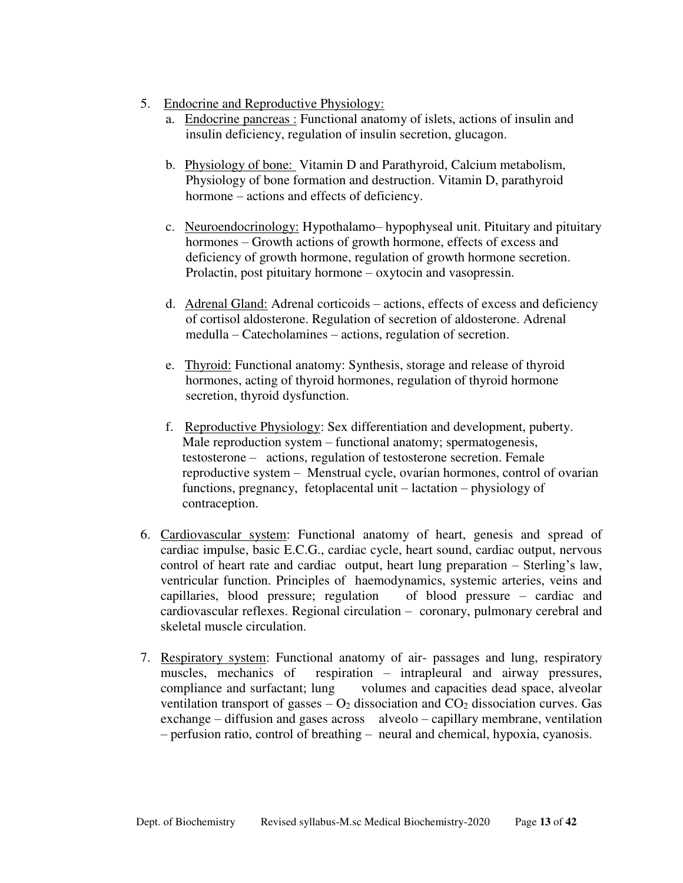- 5. Endocrine and Reproductive Physiology:
	- a. Endocrine pancreas : Functional anatomy of islets, actions of insulin and insulin deficiency, regulation of insulin secretion, glucagon.
	- b. Physiology of bone: Vitamin D and Parathyroid, Calcium metabolism, Physiology of bone formation and destruction. Vitamin D, parathyroid hormone – actions and effects of deficiency.
	- c. Neuroendocrinology: Hypothalamo– hypophyseal unit. Pituitary and pituitary hormones – Growth actions of growth hormone, effects of excess and deficiency of growth hormone, regulation of growth hormone secretion. Prolactin, post pituitary hormone – oxytocin and vasopressin.
	- d. Adrenal Gland: Adrenal corticoids actions, effects of excess and deficiency of cortisol aldosterone. Regulation of secretion of aldosterone. Adrenal medulla – Catecholamines – actions, regulation of secretion.
	- e. Thyroid: Functional anatomy: Synthesis, storage and release of thyroid hormones, acting of thyroid hormones, regulation of thyroid hormone secretion, thyroid dysfunction.
	- f. Reproductive Physiology: Sex differentiation and development, puberty. Male reproduction system – functional anatomy; spermatogenesis, testosterone – actions, regulation of testosterone secretion. Female reproductive system – Menstrual cycle, ovarian hormones, control of ovarian functions, pregnancy, fetoplacental unit – lactation – physiology of contraception.
- 6. Cardiovascular system: Functional anatomy of heart, genesis and spread of cardiac impulse, basic E.C.G., cardiac cycle, heart sound, cardiac output, nervous control of heart rate and cardiac output, heart lung preparation – Sterling's law, ventricular function. Principles of haemodynamics, systemic arteries, veins and capillaries, blood pressure; regulation of blood pressure – cardiac and cardiovascular reflexes. Regional circulation – coronary, pulmonary cerebral and skeletal muscle circulation.
- 7. Respiratory system: Functional anatomy of air- passages and lung, respiratory muscles, mechanics of respiration – intrapleural and airway pressures, compliance and surfactant; lung volumes and capacities dead space, alveolar ventilation transport of gasses  $- O_2$  dissociation and  $CO_2$  dissociation curves. Gas exchange – diffusion and gases across alveolo – capillary membrane, ventilation – perfusion ratio, control of breathing – neural and chemical, hypoxia, cyanosis.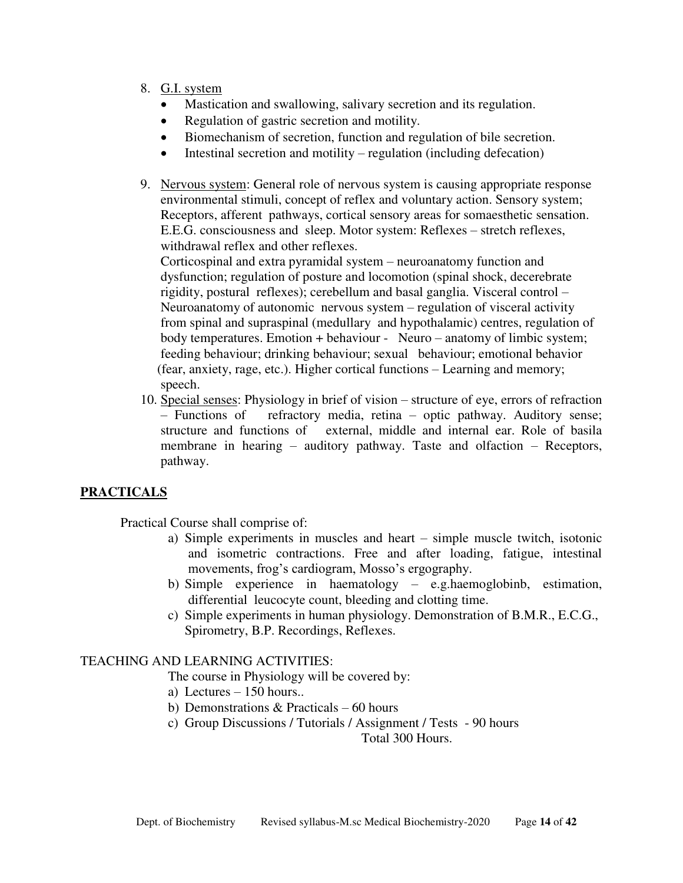- 8. G.I. system
	- Mastication and swallowing, salivary secretion and its regulation.
	- Regulation of gastric secretion and motility.
	- Biomechanism of secretion, function and regulation of bile secretion.
	- Intestinal secretion and motility regulation (including defecation)
- 9. Nervous system: General role of nervous system is causing appropriate response environmental stimuli, concept of reflex and voluntary action. Sensory system; Receptors, afferent pathways, cortical sensory areas for somaesthetic sensation. E.E.G. consciousness and sleep. Motor system: Reflexes – stretch reflexes, withdrawal reflex and other reflexes.

 Corticospinal and extra pyramidal system – neuroanatomy function and dysfunction; regulation of posture and locomotion (spinal shock, decerebrate rigidity, postural reflexes); cerebellum and basal ganglia. Visceral control – Neuroanatomy of autonomic nervous system – regulation of visceral activity from spinal and supraspinal (medullary and hypothalamic) centres, regulation of body temperatures. Emotion + behaviour - Neuro – anatomy of limbic system; feeding behaviour; drinking behaviour; sexual behaviour; emotional behavior (fear, anxiety, rage, etc.). Higher cortical functions – Learning and memory; speech.

10. Special senses: Physiology in brief of vision – structure of eye, errors of refraction – Functions of refractory media, retina – optic pathway. Auditory sense; structure and functions of external, middle and internal ear. Role of basila membrane in hearing – auditory pathway. Taste and olfaction – Receptors, pathway.

## **PRACTICALS**

Practical Course shall comprise of:

- a) Simple experiments in muscles and heart simple muscle twitch, isotonic and isometric contractions. Free and after loading, fatigue, intestinal movements, frog's cardiogram, Mosso's ergography.
- b) Simple experience in haematology e.g.haemoglobinb, estimation, differential leucocyte count, bleeding and clotting time.
- c) Simple experiments in human physiology. Demonstration of B.M.R., E.C.G., Spirometry, B.P. Recordings, Reflexes.

#### TEACHING AND LEARNING ACTIVITIES:

The course in Physiology will be covered by:

- a) Lectures 150 hours..
- b) Demonstrations & Practicals 60 hours
- c) Group Discussions / Tutorials / Assignment / Tests 90 hours

Total 300 Hours.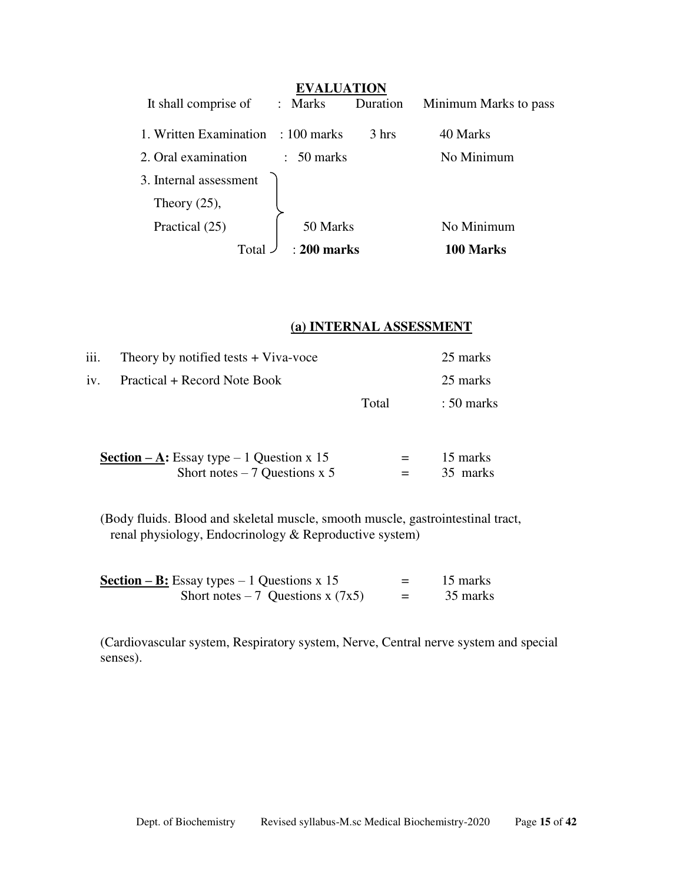|                                    | <b>EVALUATION</b>     |          |                       |  |
|------------------------------------|-----------------------|----------|-----------------------|--|
| It shall comprise of               | : Marks               | Duration | Minimum Marks to pass |  |
| 1. Written Examination : 100 marks |                       | 3 hrs    | 40 Marks              |  |
| 2. Oral examination                | $\therefore$ 50 marks |          | No Minimum            |  |
| 3. Internal assessment             |                       |          |                       |  |
| Theory $(25)$ ,                    |                       |          |                       |  |
| Practical (25)                     | 50 Marks              |          | No Minimum            |  |
| Total                              | $\pm 200$ marks       |          | 100 Marks             |  |

## **(a) INTERNAL ASSESSMENT**

|       | 25 marks              |
|-------|-----------------------|
|       | 25 marks              |
| Total | $\therefore$ 50 marks |
|       |                       |

| Section $-A$ : Essay type $-1$ Question x 15 | $=$ | 15 marks |
|----------------------------------------------|-----|----------|
| Short notes $-7$ Questions x 5               | $=$ | 35 marks |

(Body fluids. Blood and skeletal muscle, smooth muscle, gastrointestinal tract, renal physiology, Endocrinology & Reproductive system)

| Section – B: Essay types – 1 Questions x 15 | $=$ | 15 marks |
|---------------------------------------------|-----|----------|
| Short notes $-7$ Questions x (7x5)          | $=$ | 35 marks |

(Cardiovascular system, Respiratory system, Nerve, Central nerve system and special senses).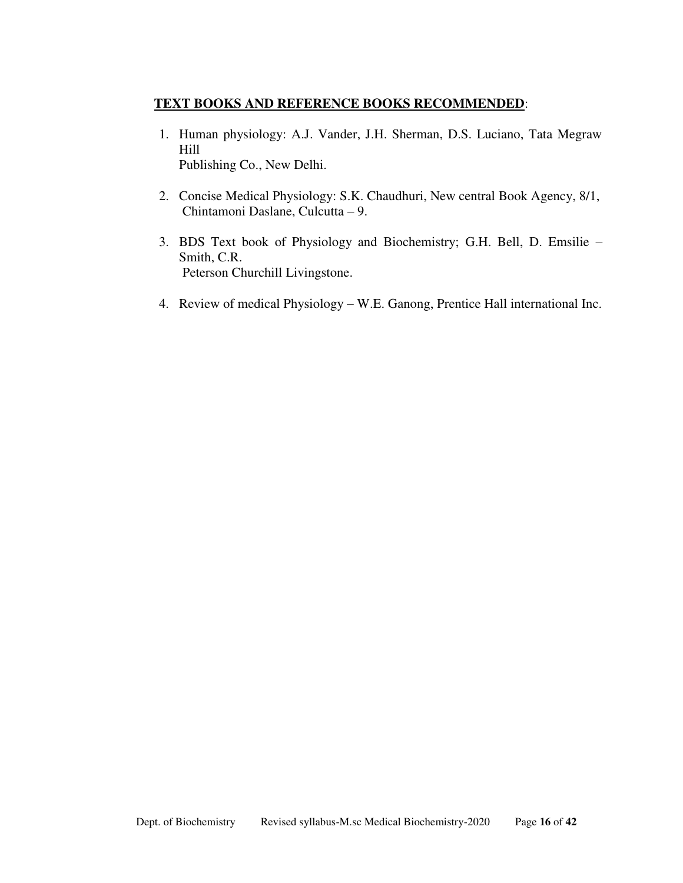### **TEXT BOOKS AND REFERENCE BOOKS RECOMMENDED**:

- 1. Human physiology: A.J. Vander, J.H. Sherman, D.S. Luciano, Tata Megraw Hill Publishing Co., New Delhi.
- 2. Concise Medical Physiology: S.K. Chaudhuri, New central Book Agency, 8/1, Chintamoni Daslane, Culcutta – 9.
- 3. BDS Text book of Physiology and Biochemistry; G.H. Bell, D. Emsilie Smith, C.R. Peterson Churchill Livingstone.
- 4. Review of medical Physiology W.E. Ganong, Prentice Hall international Inc.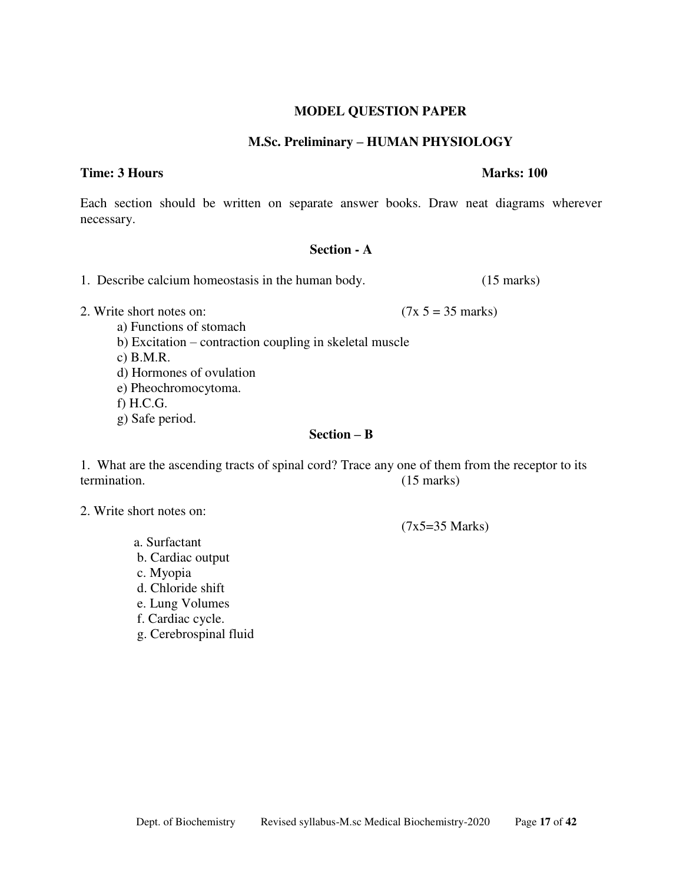## **MODEL QUESTION PAPER**

## **M.Sc. Preliminary – HUMAN PHYSIOLOGY**

## **Time: 3 Hours Marks: 100**

Each section should be written on separate answer books. Draw neat diagrams wherever necessary.

## **Section - A**

1. Describe calcium homeostasis in the human body. (15 marks)

- 2. Write short notes on:  $(7x 5 = 35 \text{ marks})$ 
	- a) Functions of stomach b) Excitation – contraction coupling in skeletal muscle
	- c) B.M.R.
	- d) Hormones of ovulation
	- e) Pheochromocytoma.
	- f) H.C.G.
	- g) Safe period.

## **Section – B**

1. What are the ascending tracts of spinal cord? Trace any one of them from the receptor to its termination. (15 marks)

- 2. Write short notes on:
	- a. Surfactant
	- b. Cardiac output
	- c. Myopia
	- d. Chloride shift
	- e. Lung Volumes
	- f. Cardiac cycle.
	- g. Cerebrospinal fluid

(7x5=35 Marks)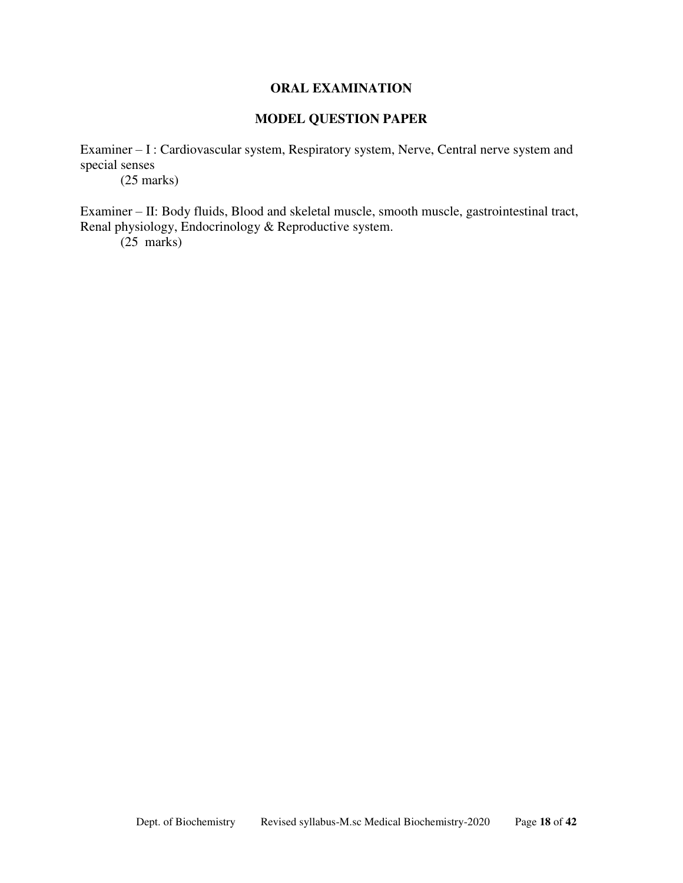#### **ORAL EXAMINATION**

## **MODEL QUESTION PAPER**

Examiner – I : Cardiovascular system, Respiratory system, Nerve, Central nerve system and special senses

(25 marks)

Examiner – II: Body fluids, Blood and skeletal muscle, smooth muscle, gastrointestinal tract, Renal physiology, Endocrinology & Reproductive system.

(25 marks)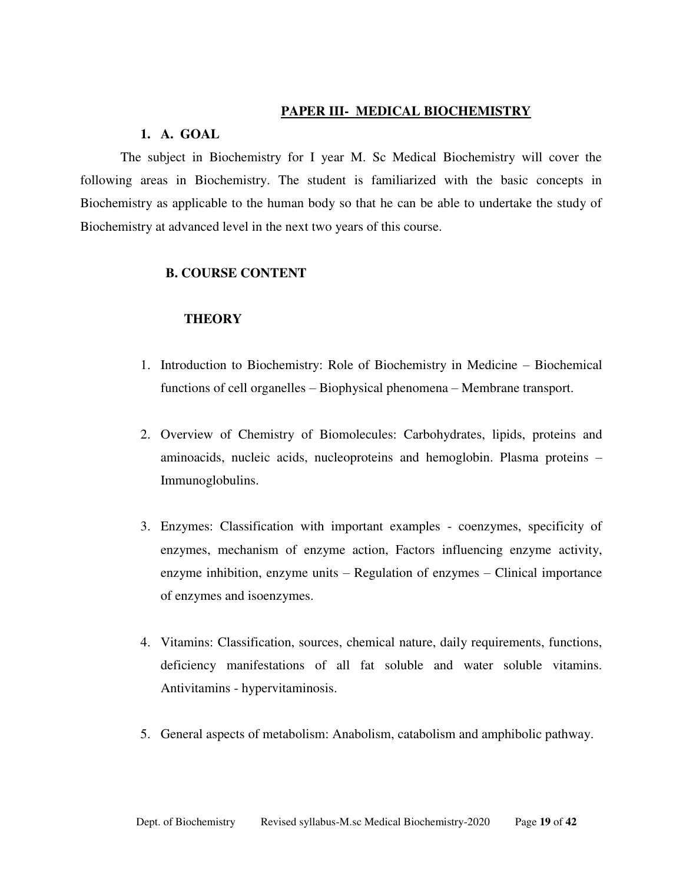#### **PAPER III- MEDICAL BIOCHEMISTRY**

## **1. A. GOAL**

The subject in Biochemistry for I year M. Sc Medical Biochemistry will cover the following areas in Biochemistry. The student is familiarized with the basic concepts in Biochemistry as applicable to the human body so that he can be able to undertake the study of Biochemistry at advanced level in the next two years of this course.

#### **B. COURSE CONTENT**

#### **THEORY**

- 1. Introduction to Biochemistry: Role of Biochemistry in Medicine Biochemical functions of cell organelles – Biophysical phenomena – Membrane transport.
- 2. Overview of Chemistry of Biomolecules: Carbohydrates, lipids, proteins and aminoacids, nucleic acids, nucleoproteins and hemoglobin. Plasma proteins – Immunoglobulins.
- 3. Enzymes: Classification with important examples coenzymes, specificity of enzymes, mechanism of enzyme action, Factors influencing enzyme activity, enzyme inhibition, enzyme units – Regulation of enzymes – Clinical importance of enzymes and isoenzymes.
- 4. Vitamins: Classification, sources, chemical nature, daily requirements, functions, deficiency manifestations of all fat soluble and water soluble vitamins. Antivitamins - hypervitaminosis.
- 5. General aspects of metabolism: Anabolism, catabolism and amphibolic pathway.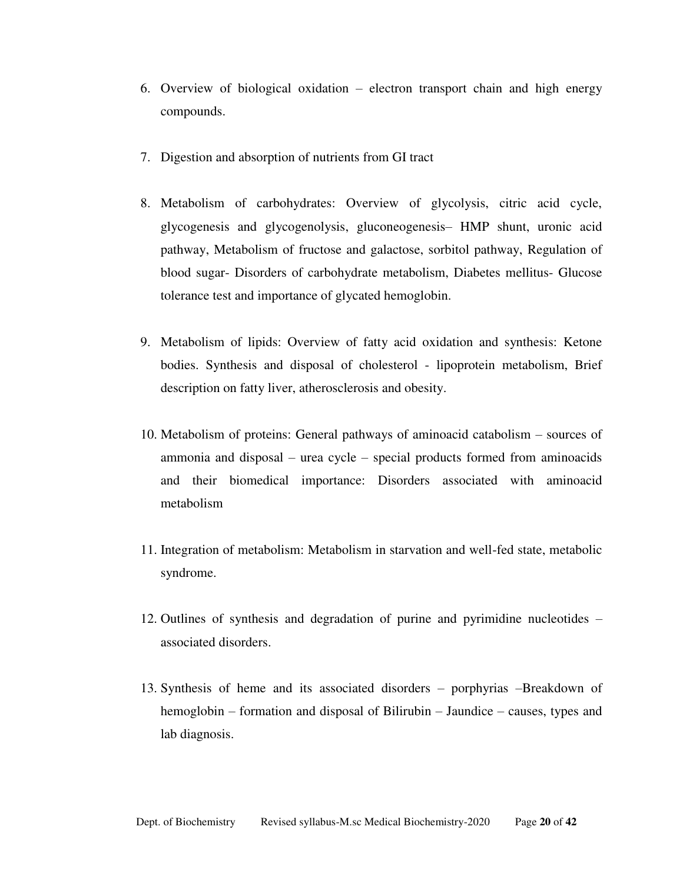- 6. Overview of biological oxidation electron transport chain and high energy compounds.
- 7. Digestion and absorption of nutrients from GI tract
- 8. Metabolism of carbohydrates: Overview of glycolysis, citric acid cycle, glycogenesis and glycogenolysis, gluconeogenesis– HMP shunt, uronic acid pathway, Metabolism of fructose and galactose, sorbitol pathway, Regulation of blood sugar- Disorders of carbohydrate metabolism, Diabetes mellitus- Glucose tolerance test and importance of glycated hemoglobin.
- 9. Metabolism of lipids: Overview of fatty acid oxidation and synthesis: Ketone bodies. Synthesis and disposal of cholesterol - lipoprotein metabolism, Brief description on fatty liver, atherosclerosis and obesity.
- 10. Metabolism of proteins: General pathways of aminoacid catabolism sources of ammonia and disposal – urea cycle – special products formed from aminoacids and their biomedical importance: Disorders associated with aminoacid metabolism
- 11. Integration of metabolism: Metabolism in starvation and well-fed state, metabolic syndrome.
- 12. Outlines of synthesis and degradation of purine and pyrimidine nucleotides associated disorders.
- 13. Synthesis of heme and its associated disorders porphyrias –Breakdown of hemoglobin – formation and disposal of Bilirubin – Jaundice – causes, types and lab diagnosis.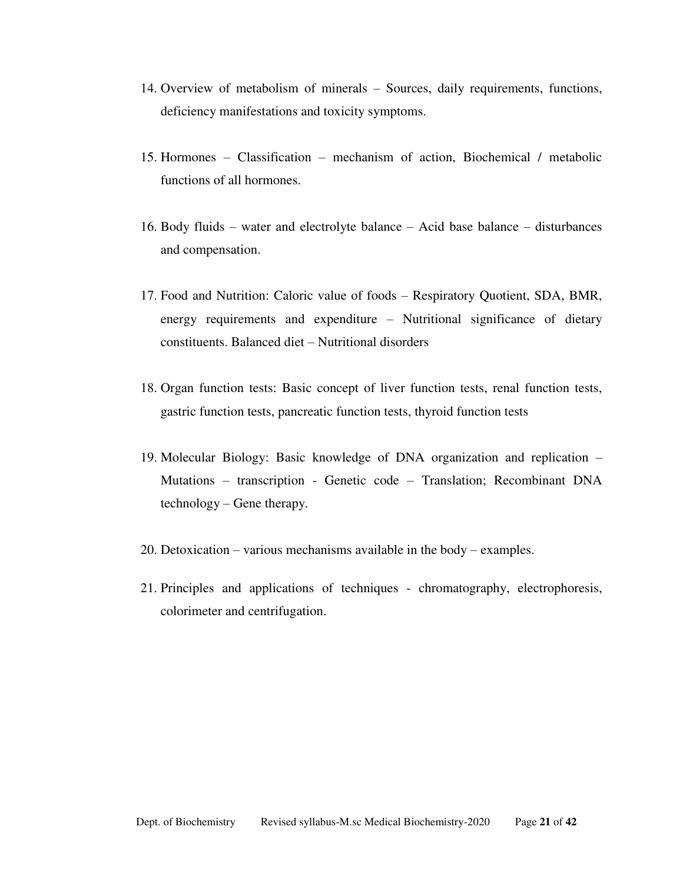- 14. Overview of metabolism of minerals Sources, daily requirements, functions, deficiency manifestations and toxicity symptoms.
- 15. Hormones Classification mechanism of action, Biochemical / metabolic functions of all hormones.
- 16. Body fluids water and electrolyte balance Acid base balance disturbances and compensation.
- 17. Food and Nutrition: Caloric value of foods Respiratory Quotient, SDA, BMR, energy requirements and expenditure – Nutritional significance of dietary constituents. Balanced diet – Nutritional disorders
- 18. Organ function tests: Basic concept of liver function tests, renal function tests, gastric function tests, pancreatic function tests, thyroid function tests
- 19. Molecular Biology: Basic knowledge of DNA organization and replication Mutations – transcription - Genetic code – Translation; Recombinant DNA technology – Gene therapy.
- 20. Detoxication various mechanisms available in the body examples.
- 21. Principles and applications of techniques chromatography, electrophoresis, colorimeter and centrifugation.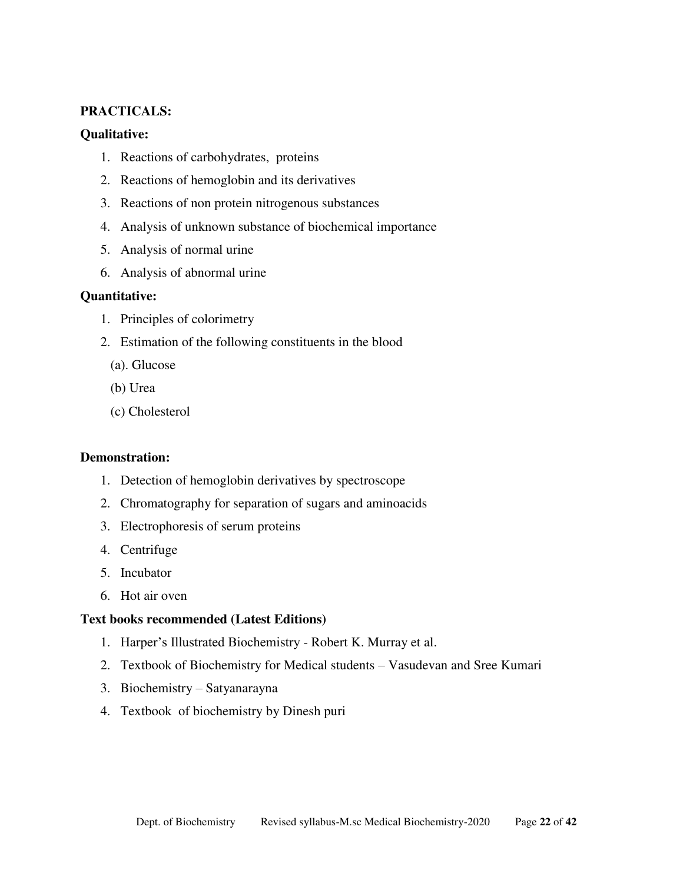#### **PRACTICALS:**

#### **Qualitative:**

- 1. Reactions of carbohydrates, proteins
- 2. Reactions of hemoglobin and its derivatives
- 3. Reactions of non protein nitrogenous substances
- 4. Analysis of unknown substance of biochemical importance
- 5. Analysis of normal urine
- 6. Analysis of abnormal urine

#### **Quantitative:**

- 1. Principles of colorimetry
- 2. Estimation of the following constituents in the blood
	- (a). Glucose
	- (b) Urea
	- (c) Cholesterol

#### **Demonstration:**

- 1. Detection of hemoglobin derivatives by spectroscope
- 2. Chromatography for separation of sugars and aminoacids
- 3. Electrophoresis of serum proteins
- 4. Centrifuge
- 5. Incubator
- 6. Hot air oven

#### **Text books recommended (Latest Editions)**

- 1. Harper's Illustrated Biochemistry Robert K. Murray et al.
- 2. Textbook of Biochemistry for Medical students Vasudevan and Sree Kumari
- 3. Biochemistry Satyanarayna
- 4. Textbook of biochemistry by Dinesh puri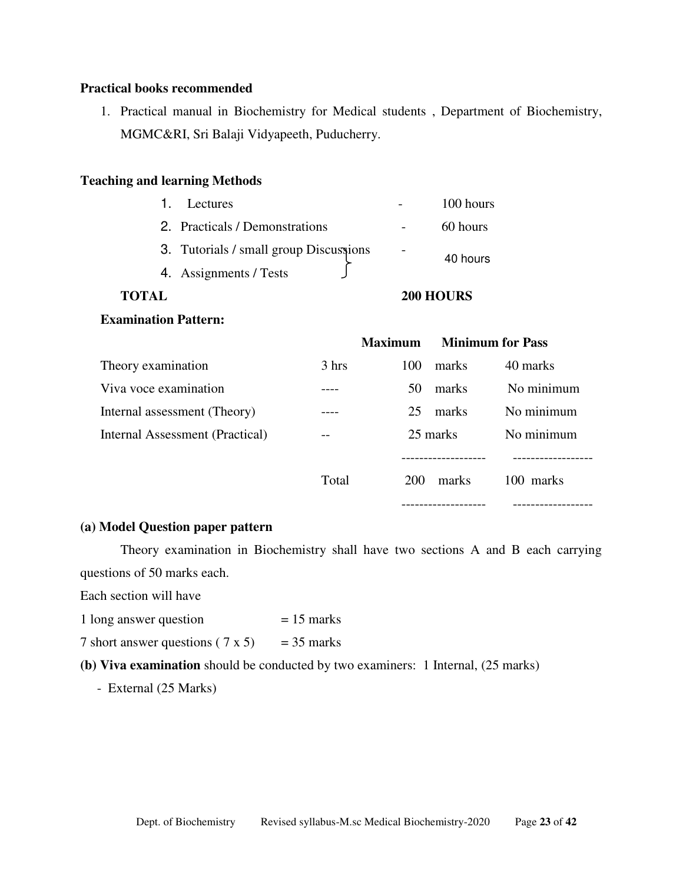#### **Practical books recommended**

1. Practical manual in Biochemistry for Medical students , Department of Biochemistry, MGMC&RI, Sri Balaji Vidyapeeth, Puducherry.

#### **Teaching and learning Methods**

| <b>TOTAL</b> |                                        | 200 HOURS |
|--------------|----------------------------------------|-----------|
|              | 4. Assignments / Tests                 |           |
|              | 3. Tutorials / small group Discussions | 40 hours  |
|              | 2. Practicals / Demonstrations         | 60 hours  |
|              | 1. Lectures                            | 100 hours |

#### **Examination Pattern:**

|                                 |       | <b>Maximum</b> | <b>Minimum for Pass</b> |            |
|---------------------------------|-------|----------------|-------------------------|------------|
| Theory examination              | 3 hrs | 100            | marks                   | 40 marks   |
| Viva voce examination           |       | 50             | marks                   | No minimum |
| Internal assessment (Theory)    |       | 25             | marks                   | No minimum |
| Internal Assessment (Practical) | --    |                | 25 marks                | No minimum |
|                                 |       |                |                         |            |
|                                 | Total | <b>200</b>     | marks                   | 100 marks  |
|                                 |       |                |                         |            |

### **(a) Model Question paper pattern**

 Theory examination in Biochemistry shall have two sections A and B each carrying questions of 50 marks each.

Each section will have

- 1 long answer question  $= 15$  marks
- 7 short answer questions  $(7 \times 5)$  = 35 marks
- **(b) Viva examination** should be conducted by two examiners: 1 Internal, (25 marks)
	- External (25 Marks)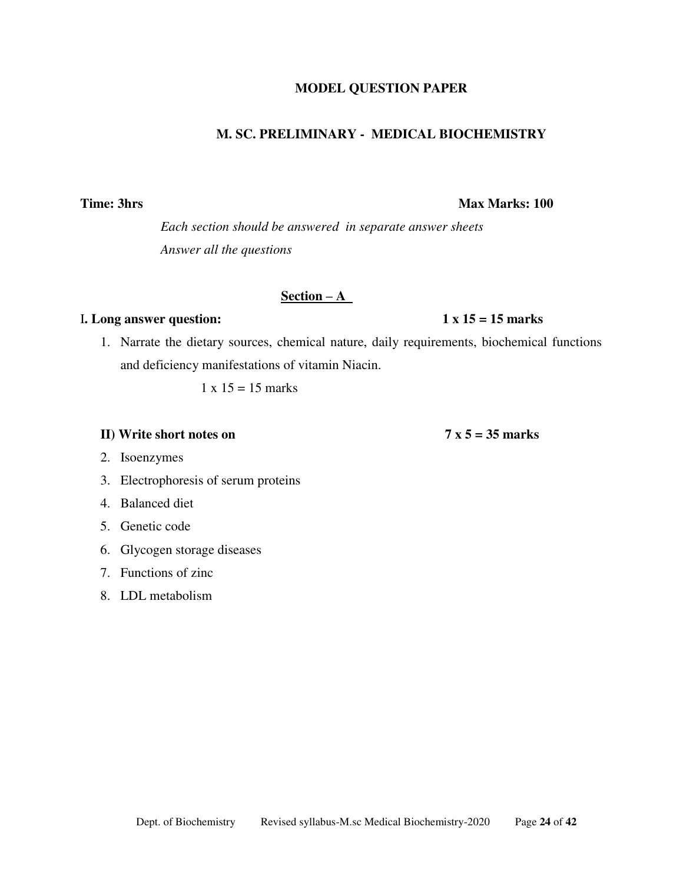## **MODEL QUESTION PAPER**

# **M. SC. PRELIMINARY - MEDICAL BIOCHEMISTRY**

*Each section should be answered in separate answer sheets Answer all the questions* 

# **Section – A**

## I**. Long answer question: 1 x 15 = 15 marks**

1. Narrate the dietary sources, chemical nature, daily requirements, biochemical functions and deficiency manifestations of vitamin Niacin.

 $1 \times 15 = 15$  marks

### **II)** Write short notes on 7 x 5 = 35 marks

- 2. Isoenzymes
- 3. Electrophoresis of serum proteins
- 4. Balanced diet
- 5. Genetic code
- 6. Glycogen storage diseases
- 7. Functions of zinc
- 8. LDL metabolism

# **Time: 3hrs Max Marks: 100**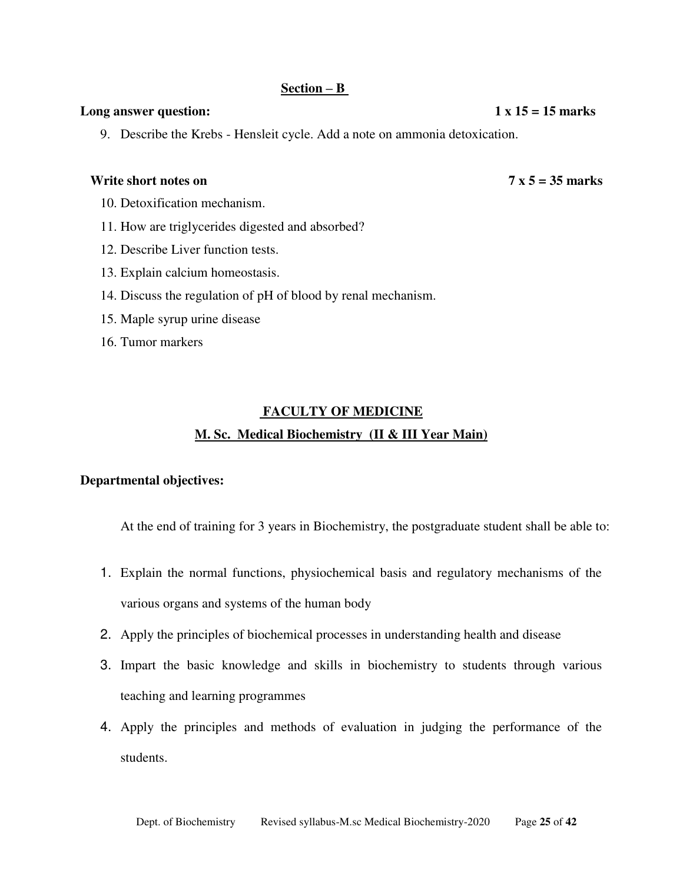#### **Section – B**

#### Long answer question:  $1 \times 15 = 15$  marks

9. Describe the Krebs - Hensleit cycle. Add a note on ammonia detoxication.

#### **Write short notes on 7 x 5 = 35 marks**

- 10. Detoxification mechanism.
- 11. How are triglycerides digested and absorbed?
- 12. Describe Liver function tests.
- 13. Explain calcium homeostasis.
- 14. Discuss the regulation of pH of blood by renal mechanism.
- 15. Maple syrup urine disease
- 16. Tumor markers

## **FACULTY OF MEDICINE**

## **M. Sc. Medical Biochemistry (II & III Year Main)**

#### **Departmental objectives:**

At the end of training for 3 years in Biochemistry, the postgraduate student shall be able to:

- 1. Explain the normal functions, physiochemical basis and regulatory mechanisms of the various organs and systems of the human body
- 2. Apply the principles of biochemical processes in understanding health and disease
- 3. Impart the basic knowledge and skills in biochemistry to students through various teaching and learning programmes
- 4. Apply the principles and methods of evaluation in judging the performance of the students.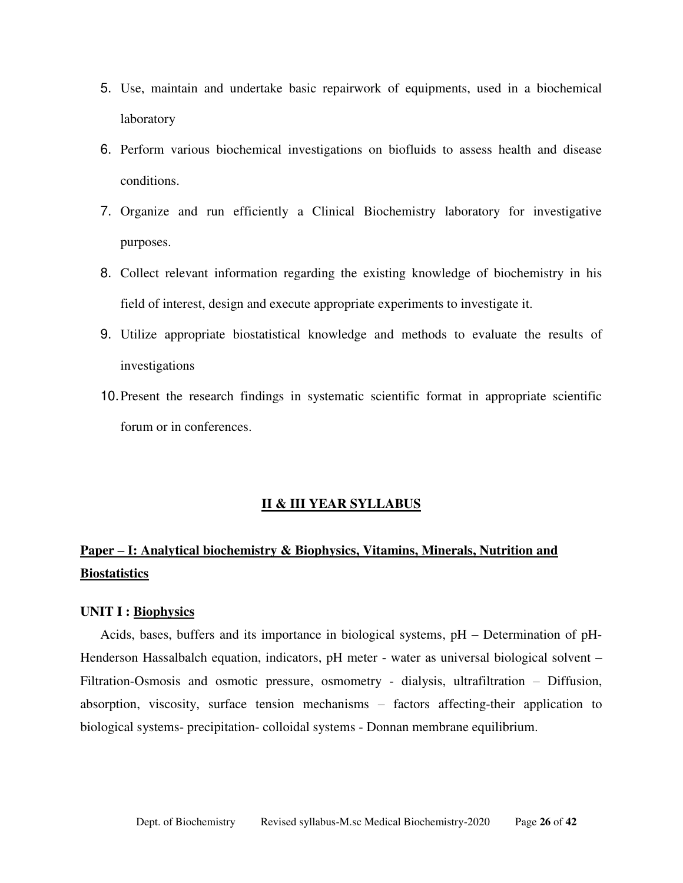- 5. Use, maintain and undertake basic repairwork of equipments, used in a biochemical laboratory
- 6. Perform various biochemical investigations on biofluids to assess health and disease conditions.
- 7. Organize and run efficiently a Clinical Biochemistry laboratory for investigative purposes.
- 8. Collect relevant information regarding the existing knowledge of biochemistry in his field of interest, design and execute appropriate experiments to investigate it.
- 9. Utilize appropriate biostatistical knowledge and methods to evaluate the results of investigations
- 10.Present the research findings in systematic scientific format in appropriate scientific forum or in conferences.

#### **II & III YEAR SYLLABUS**

# **Paper – I: Analytical biochemistry & Biophysics, Vitamins, Minerals, Nutrition and Biostatistics**

#### **UNIT I : Biophysics**

Acids, bases, buffers and its importance in biological systems, pH – Determination of pH-Henderson Hassalbalch equation, indicators, pH meter - water as universal biological solvent – Filtration-Osmosis and osmotic pressure, osmometry - dialysis, ultrafiltration – Diffusion, absorption, viscosity, surface tension mechanisms – factors affecting-their application to biological systems- precipitation- colloidal systems - Donnan membrane equilibrium.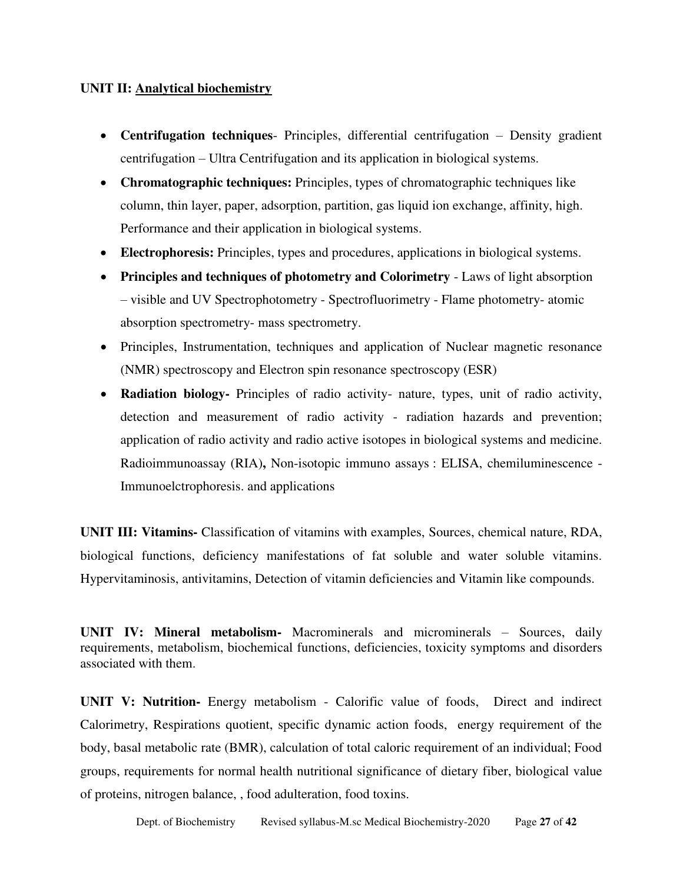### **UNIT II: Analytical biochemistry**

- **Centrifugation techniques** Principles, differential centrifugation Density gradient centrifugation – Ultra Centrifugation and its application in biological systems.
- **Chromatographic techniques:** Principles, types of chromatographic techniques like column, thin layer, paper, adsorption, partition, gas liquid ion exchange, affinity, high. Performance and their application in biological systems.
- **Electrophoresis:** Principles, types and procedures, applications in biological systems.
- **Principles and techniques of photometry and Colorimetry** Laws of light absorption – visible and UV Spectrophotometry - Spectrofluorimetry - Flame photometry- atomic absorption spectrometry- mass spectrometry.
- Principles, Instrumentation, techniques and application of Nuclear magnetic resonance (NMR) spectroscopy and Electron spin resonance spectroscopy (ESR)
- **Radiation biology-** Principles of radio activity- nature, types, unit of radio activity, detection and measurement of radio activity - radiation hazards and prevention; application of radio activity and radio active isotopes in biological systems and medicine. Radioimmunoassay (RIA)**,** Non-isotopic immuno assays : ELISA, chemiluminescence - Immunoelctrophoresis. and applications

**UNIT III: Vitamins-** Classification of vitamins with examples, Sources, chemical nature, RDA, biological functions, deficiency manifestations of fat soluble and water soluble vitamins. Hypervitaminosis, antivitamins, Detection of vitamin deficiencies and Vitamin like compounds.

**UNIT IV: Mineral metabolism-** Macrominerals and microminerals – Sources, daily requirements, metabolism, biochemical functions, deficiencies, toxicity symptoms and disorders associated with them.

**UNIT V: Nutrition-** Energy metabolism - Calorific value of foods, Direct and indirect Calorimetry, Respirations quotient, specific dynamic action foods, energy requirement of the body, basal metabolic rate (BMR), calculation of total caloric requirement of an individual; Food groups, requirements for normal health nutritional significance of dietary fiber, biological value of proteins, nitrogen balance, , food adulteration, food toxins.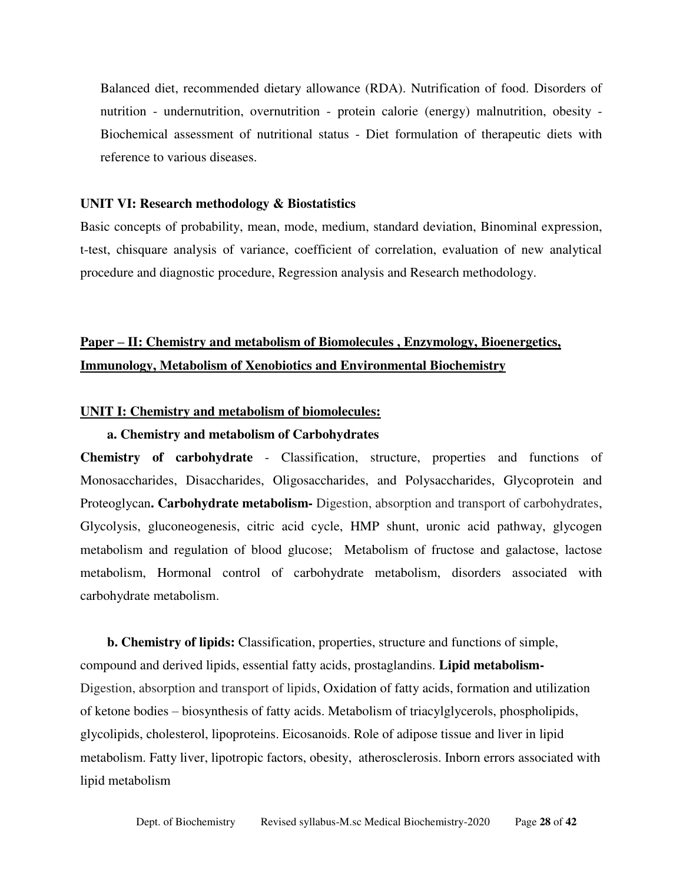Balanced diet, recommended dietary allowance (RDA). Nutrification of food. Disorders of nutrition - undernutrition, overnutrition - protein calorie (energy) malnutrition, obesity - Biochemical assessment of nutritional status - Diet formulation of therapeutic diets with reference to various diseases.

#### **UNIT VI: Research methodology & Biostatistics**

Basic concepts of probability, mean, mode, medium, standard deviation, Binominal expression, t-test, chisquare analysis of variance, coefficient of correlation, evaluation of new analytical procedure and diagnostic procedure, Regression analysis and Research methodology.

# **Paper – II: Chemistry and metabolism of Biomolecules , Enzymology, Bioenergetics, Immunology, Metabolism of Xenobiotics and Environmental Biochemistry**

#### **UNIT I: Chemistry and metabolism of biomolecules:**

#### **a. Chemistry and metabolism of Carbohydrates**

**Chemistry of carbohydrate** - Classification, structure, properties and functions of Monosaccharides, Disaccharides, Oligosaccharides, and Polysaccharides, Glycoprotein and Proteoglycan**. Carbohydrate metabolism-** Digestion, absorption and transport of carbohydrates, Glycolysis, gluconeogenesis, citric acid cycle, HMP shunt, uronic acid pathway, glycogen metabolism and regulation of blood glucose; Metabolism of fructose and galactose, lactose metabolism, Hormonal control of carbohydrate metabolism, disorders associated with carbohydrate metabolism.

 **b. Chemistry of lipids:** Classification, properties, structure and functions of simple, compound and derived lipids, essential fatty acids, prostaglandins. **Lipid metabolism-**Digestion, absorption and transport of lipids, Oxidation of fatty acids, formation and utilization of ketone bodies – biosynthesis of fatty acids. Metabolism of triacylglycerols, phospholipids, glycolipids, cholesterol, lipoproteins. Eicosanoids. Role of adipose tissue and liver in lipid metabolism. Fatty liver, lipotropic factors, obesity, atherosclerosis. Inborn errors associated with lipid metabolism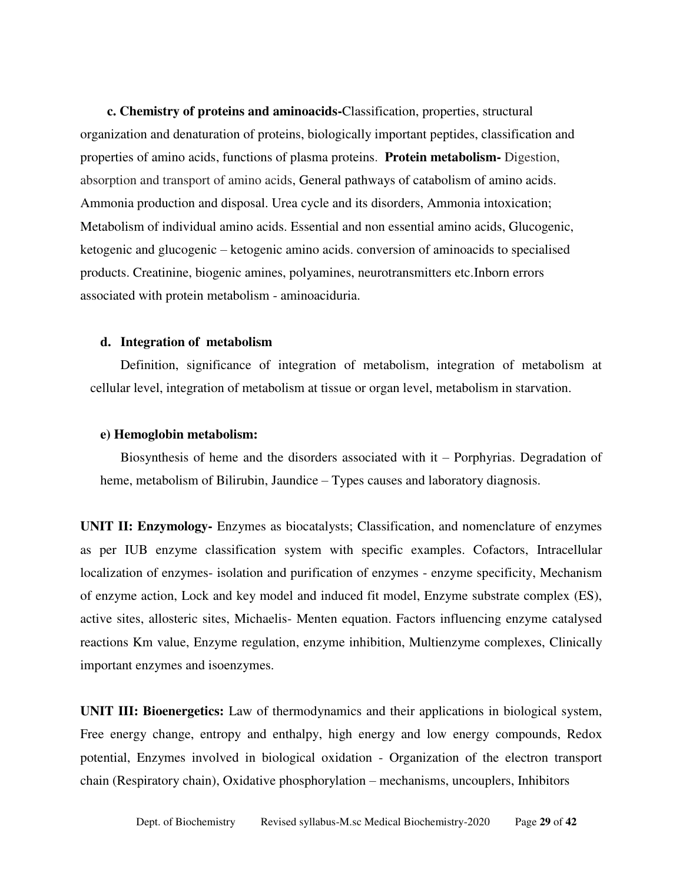**c. Chemistry of proteins and aminoacids-**Classification, properties, structural organization and denaturation of proteins, biologically important peptides, classification and properties of amino acids, functions of plasma proteins. **Protein metabolism-** Digestion, absorption and transport of amino acids, General pathways of catabolism of amino acids. Ammonia production and disposal. Urea cycle and its disorders, Ammonia intoxication; Metabolism of individual amino acids. Essential and non essential amino acids, Glucogenic, ketogenic and glucogenic – ketogenic amino acids. conversion of aminoacids to specialised products. Creatinine, biogenic amines, polyamines, neurotransmitters etc.Inborn errors associated with protein metabolism - aminoaciduria.

#### **d. Integration of metabolism**

Definition, significance of integration of metabolism, integration of metabolism at cellular level, integration of metabolism at tissue or organ level, metabolism in starvation.

#### **e) Hemoglobin metabolism:**

Biosynthesis of heme and the disorders associated with it – Porphyrias. Degradation of heme, metabolism of Bilirubin, Jaundice – Types causes and laboratory diagnosis.

**UNIT II: Enzymology-** Enzymes as biocatalysts; Classification, and nomenclature of enzymes as per IUB enzyme classification system with specific examples. Cofactors, Intracellular localization of enzymes- isolation and purification of enzymes - enzyme specificity, Mechanism of enzyme action, Lock and key model and induced fit model, Enzyme substrate complex (ES), active sites, allosteric sites, Michaelis- Menten equation. Factors influencing enzyme catalysed reactions Km value, Enzyme regulation, enzyme inhibition, Multienzyme complexes, Clinically important enzymes and isoenzymes.

**UNIT III: Bioenergetics:** Law of thermodynamics and their applications in biological system, Free energy change, entropy and enthalpy, high energy and low energy compounds, Redox potential, Enzymes involved in biological oxidation - Organization of the electron transport chain (Respiratory chain), Oxidative phosphorylation – mechanisms, uncouplers, Inhibitors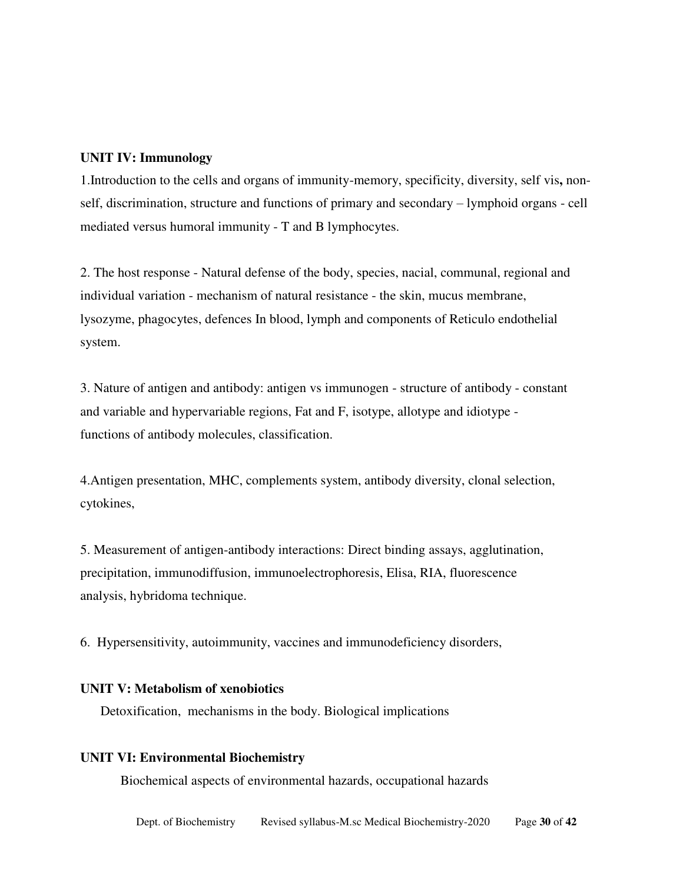#### **UNIT IV: Immunology**

1.Introduction to the cells and organs of immunity-memory, specificity, diversity, self vis**,** nonself, discrimination, structure and functions of primary and secondary – lymphoid organs - cell mediated versus humoral immunity - T and B lymphocytes.

2. The host response - Natural defense of the body, species, nacial, communal, regional and individual variation - mechanism of natural resistance - the skin, mucus membrane, lysozyme, phagocytes, defences In blood, lymph and components of Reticulo endothelial system.

3. Nature of antigen and antibody: antigen vs immunogen - structure of antibody - constant and variable and hypervariable regions, Fat and F, isotype, allotype and idiotype functions of antibody molecules, classification.

4.Antigen presentation, MHC, complements system, antibody diversity, clonal selection, cytokines,

5. Measurement of antigen-antibody interactions: Direct binding assays, agglutination, precipitation, immunodiffusion, immunoelectrophoresis, Elisa, RIA, fluorescence analysis, hybridoma technique.

6. Hypersensitivity, autoimmunity, vaccines and immunodeficiency disorders,

#### **UNIT V: Metabolism of xenobiotics**

Detoxification, mechanisms in the body. Biological implications

#### **UNIT VI: Environmental Biochemistry**

Biochemical aspects of environmental hazards, occupational hazards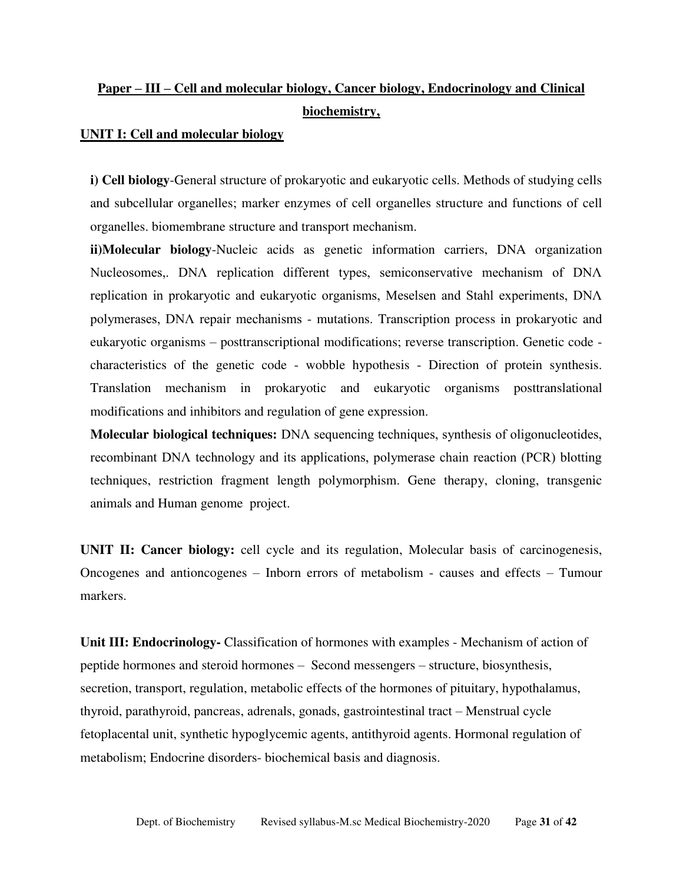# **Paper – III – Cell and molecular biology, Cancer biology, Endocrinology and Clinical biochemistry,**

#### **UNIT I: Cell and molecular biology**

**i) Cell biology**-General structure of prokaryotic and eukaryotic cells. Methods of studying cells and subcellular organelles; marker enzymes of cell organelles structure and functions of cell organelles. biomembrane structure and transport mechanism.

**ii)Molecular biology**-Nucleic acids as genetic information carriers, DNA organization Nucleosomes,. DNΛ replication different types, semiconservative mechanism of DNΛ replication in prokaryotic and eukaryotic organisms, Meselsen and Stahl experiments, DNΛ polymerases, DNΛ repair mechanisms - mutations. Transcription process in prokaryotic and eukaryotic organisms – posttranscriptional modifications; reverse transcription. Genetic code characteristics of the genetic code - wobble hypothesis - Direction of protein synthesis. Translation mechanism in prokaryotic and eukaryotic organisms posttranslational modifications and inhibitors and regulation of gene expression.

**Molecular biological techniques:** DNΛ sequencing techniques, synthesis of oligonucleotides, recombinant DNΛ technology and its applications, polymerase chain reaction (PCR) blotting techniques, restriction fragment length polymorphism. Gene therapy, cloning, transgenic animals and Human genome project.

**UNIT II: Cancer biology:** cell cycle and its regulation, Molecular basis of carcinogenesis, Oncogenes and antioncogenes – Inborn errors of metabolism - causes and effects – Tumour markers.

**Unit III: Endocrinology-** Classification of hormones with examples - Mechanism of action of peptide hormones and steroid hormones – Second messengers – structure, biosynthesis, secretion, transport, regulation, metabolic effects of the hormones of pituitary, hypothalamus, thyroid, parathyroid, pancreas, adrenals, gonads, gastrointestinal tract – Menstrual cycle fetoplacental unit, synthetic hypoglycemic agents, antithyroid agents. Hormonal regulation of metabolism; Endocrine disorders- biochemical basis and diagnosis.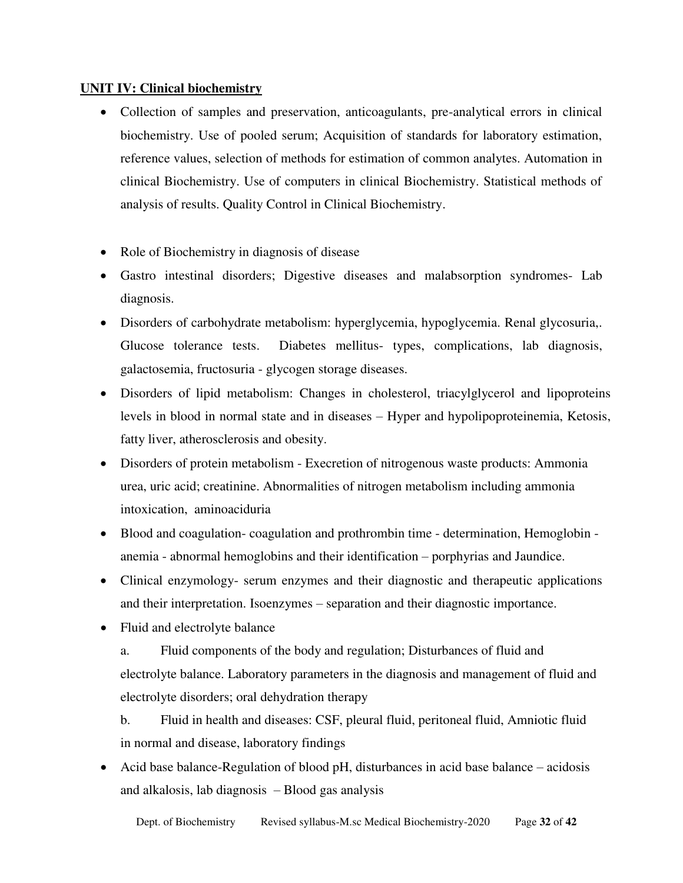## **UNIT IV: Clinical biochemistry**

- Collection of samples and preservation, anticoagulants, pre-analytical errors in clinical biochemistry. Use of pooled serum; Acquisition of standards for laboratory estimation, reference values, selection of methods for estimation of common analytes. Automation in clinical Biochemistry. Use of computers in clinical Biochemistry. Statistical methods of analysis of results. Quality Control in Clinical Biochemistry.
- Role of Biochemistry in diagnosis of disease
- Gastro intestinal disorders; Digestive diseases and malabsorption syndromes- Lab diagnosis.
- Disorders of carbohydrate metabolism: hyperglycemia, hypoglycemia. Renal glycosuria,. Glucose tolerance tests. Diabetes mellitus- types, complications, lab diagnosis, galactosemia, fructosuria - glycogen storage diseases.
- Disorders of lipid metabolism: Changes in cholesterol, triacylglycerol and lipoproteins levels in blood in normal state and in diseases – Hyper and hypolipoproteinemia, Ketosis, fatty liver, atherosclerosis and obesity.
- Disorders of protein metabolism Execretion of nitrogenous waste products: Ammonia urea, uric acid; creatinine. Abnormalities of nitrogen metabolism including ammonia intoxication, aminoaciduria
- Blood and coagulation- coagulation and prothrombin time determination, Hemoglobin anemia - abnormal hemoglobins and their identification – porphyrias and Jaundice.
- Clinical enzymology- serum enzymes and their diagnostic and therapeutic applications and their interpretation. Isoenzymes – separation and their diagnostic importance.
- Fluid and electrolyte balance
	- a. Fluid components of the body and regulation; Disturbances of fluid and electrolyte balance. Laboratory parameters in the diagnosis and management of fluid and electrolyte disorders; oral dehydration therapy
	- b. Fluid in health and diseases: CSF, pleural fluid, peritoneal fluid, Amniotic fluid in normal and disease, laboratory findings
- Acid base balance-Regulation of blood pH, disturbances in acid base balance acidosis and alkalosis, lab diagnosis – Blood gas analysis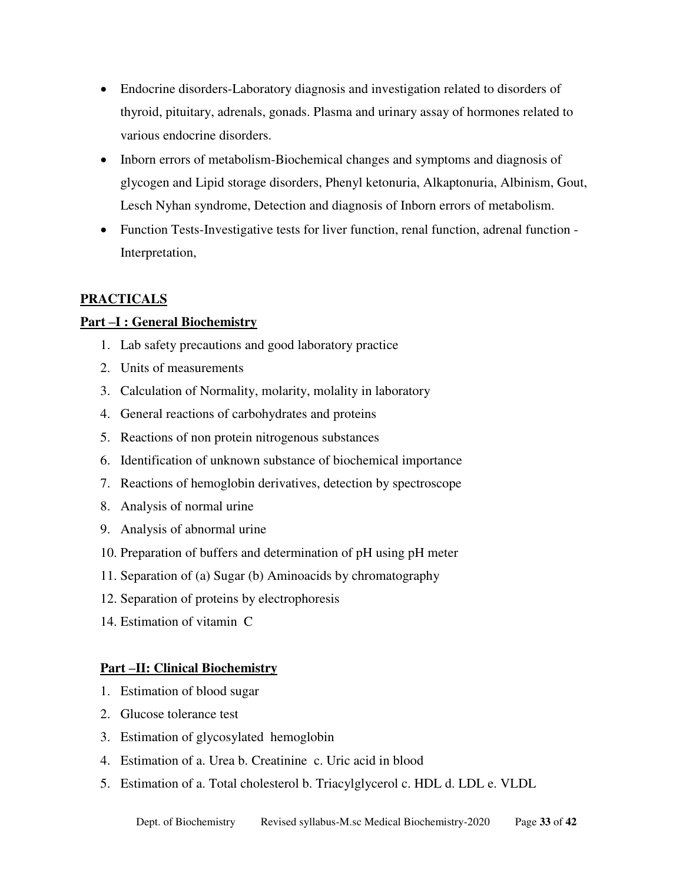- Endocrine disorders-Laboratory diagnosis and investigation related to disorders of thyroid, pituitary, adrenals, gonads. Plasma and urinary assay of hormones related to various endocrine disorders.
- Inborn errors of metabolism-Biochemical changes and symptoms and diagnosis of glycogen and Lipid storage disorders, Phenyl ketonuria, Alkaptonuria, Albinism, Gout, Lesch Nyhan syndrome, Detection and diagnosis of Inborn errors of metabolism.
- Function Tests-Investigative tests for liver function, renal function, adrenal function -Interpretation,

## **PRACTICALS**

## **Part –I : General Biochemistry**

- 1. Lab safety precautions and good laboratory practice
- 2. Units of measurements
- 3. Calculation of Normality, molarity, molality in laboratory
- 4. General reactions of carbohydrates and proteins
- 5. Reactions of non protein nitrogenous substances
- 6. Identification of unknown substance of biochemical importance
- 7. Reactions of hemoglobin derivatives, detection by spectroscope
- 8. Analysis of normal urine
- 9. Analysis of abnormal urine
- 10. Preparation of buffers and determination of pH using pH meter
- 11. Separation of (a) Sugar (b) Aminoacids by chromatography
- 12. Separation of proteins by electrophoresis
- 14. Estimation of vitamin C

## **Part –II: Clinical Biochemistry**

- 1. Estimation of blood sugar
- 2. Glucose tolerance test
- 3. Estimation of glycosylated hemoglobin
- 4. Estimation of a. Urea b. Creatinine c. Uric acid in blood
- 5. Estimation of a. Total cholesterol b. Triacylglycerol c. HDL d. LDL e. VLDL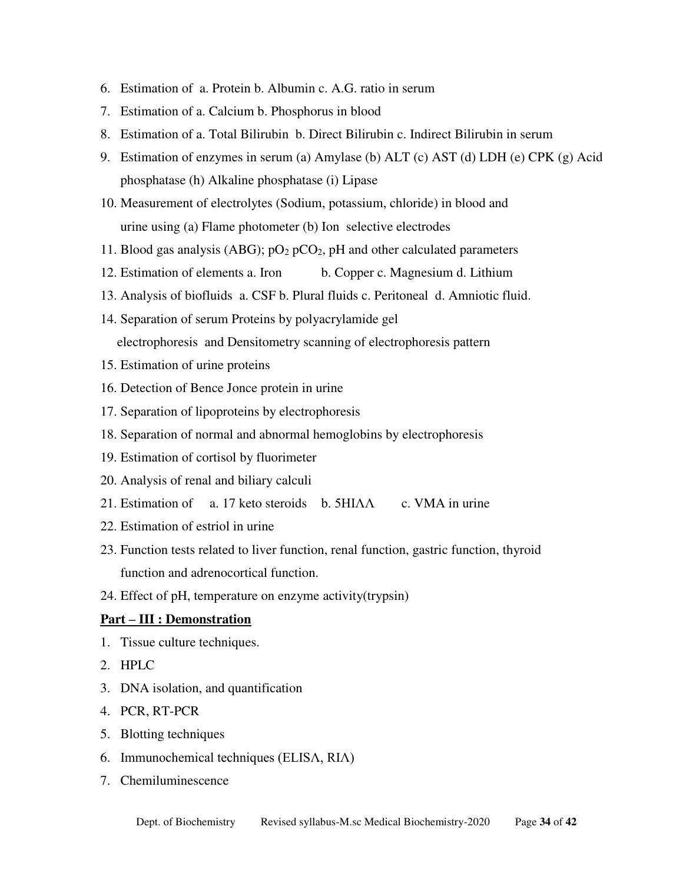- 6. Estimation of a. Protein b. Albumin c. A.G. ratio in serum
- 7. Estimation of a. Calcium b. Phosphorus in blood
- 8. Estimation of a. Total Bilirubin b. Direct Bilirubin c. Indirect Bilirubin in serum
- 9. Estimation of enzymes in serum (a) Amylase (b) ALT (c) AST (d) LDH (e) CPK (g) Acid phosphatase (h) Alkaline phosphatase (i) Lipase
- 10. Measurement of electrolytes (Sodium, potassium, chloride) in blood and urine using (a) Flame photometer (b) Ion selective electrodes
- 11. Blood gas analysis (ABG);  $pO_2 pCO_2$ , pH and other calculated parameters
- 12. Estimation of elements a. Iron b. Copper c. Magnesium d. Lithium
- 13. Analysis of biofluids a. CSF b. Plural fluids c. Peritoneal d. Amniotic fluid.
- 14. Separation of serum Proteins by polyacrylamide gel electrophoresis and Densitometry scanning of electrophoresis pattern
- 15. Estimation of urine proteins
- 16. Detection of Bence Jonce protein in urine
- 17. Separation of lipoproteins by electrophoresis
- 18. Separation of normal and abnormal hemoglobins by electrophoresis
- 19. Estimation of cortisol by fluorimeter
- 20. Analysis of renal and biliary calculi
- 21. Estimation of a. 17 keto steroids b. 5HIΛΛ c. VMA in urine
- 22. Estimation of estriol in urine
- 23. Function tests related to liver function, renal function, gastric function, thyroid function and adrenocortical function.
- 24. Effect of pH, temperature on enzyme activity(trypsin)

## **Part – III : Demonstration**

- 1. Tissue culture techniques.
- 2. HPLC
- 3. DNA isolation, and quantification
- 4. PCR, RT-PCR
- 5. Blotting techniques
- 6. Immunochemical techniques (ELISΛ, RIΛ)
- 7. Chemiluminescence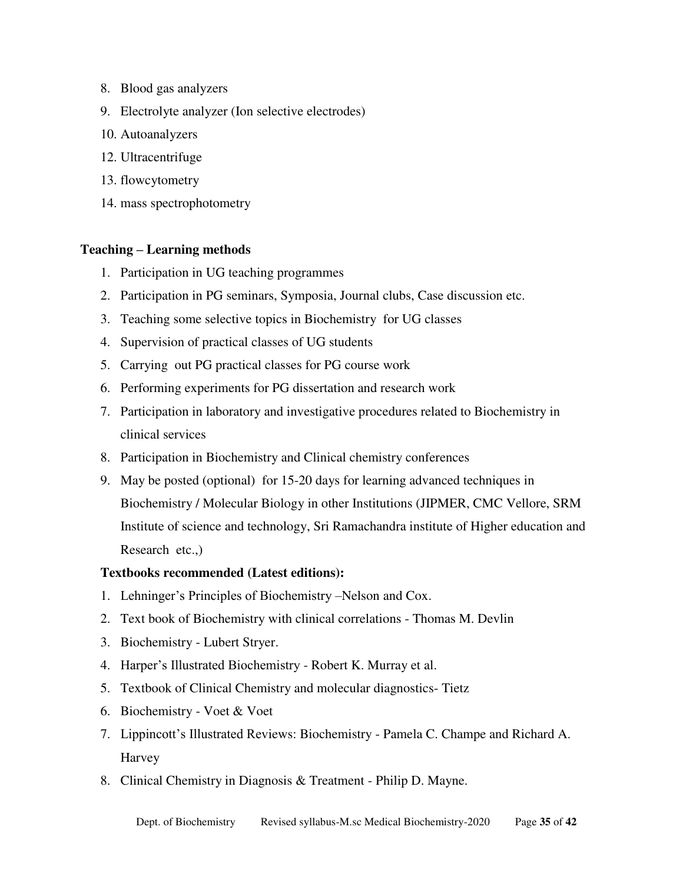- 8. Blood gas analyzers
- 9. Electrolyte analyzer (Ion selective electrodes)
- 10. Autoanalyzers
- 12. Ultracentrifuge
- 13. flowcytometry
- 14. mass spectrophotometry

### **Teaching – Learning methods**

- 1. Participation in UG teaching programmes
- 2. Participation in PG seminars, Symposia, Journal clubs, Case discussion etc.
- 3. Teaching some selective topics in Biochemistry for UG classes
- 4. Supervision of practical classes of UG students
- 5. Carrying out PG practical classes for PG course work
- 6. Performing experiments for PG dissertation and research work
- 7. Participation in laboratory and investigative procedures related to Biochemistry in clinical services
- 8. Participation in Biochemistry and Clinical chemistry conferences
- 9. May be posted (optional) for 15-20 days for learning advanced techniques in Biochemistry / Molecular Biology in other Institutions (JIPMER, CMC Vellore, SRM Institute of science and technology, Sri Ramachandra institute of Higher education and Research etc.,)

#### **Textbooks recommended (Latest editions):**

- 1. Lehninger's Principles of Biochemistry –Nelson and Cox.
- 2. Text book of Biochemistry with clinical correlations Thomas M. Devlin
- 3. Biochemistry Lubert Stryer.
- 4. Harper's Illustrated Biochemistry Robert K. Murray et al.
- 5. Textbook of Clinical Chemistry and molecular diagnostics- Tietz
- 6. Biochemistry Voet & Voet
- 7. Lippincott's Illustrated Reviews: Biochemistry Pamela C. Champe and Richard A. Harvey
- 8. Clinical Chemistry in Diagnosis & Treatment Philip D. Mayne.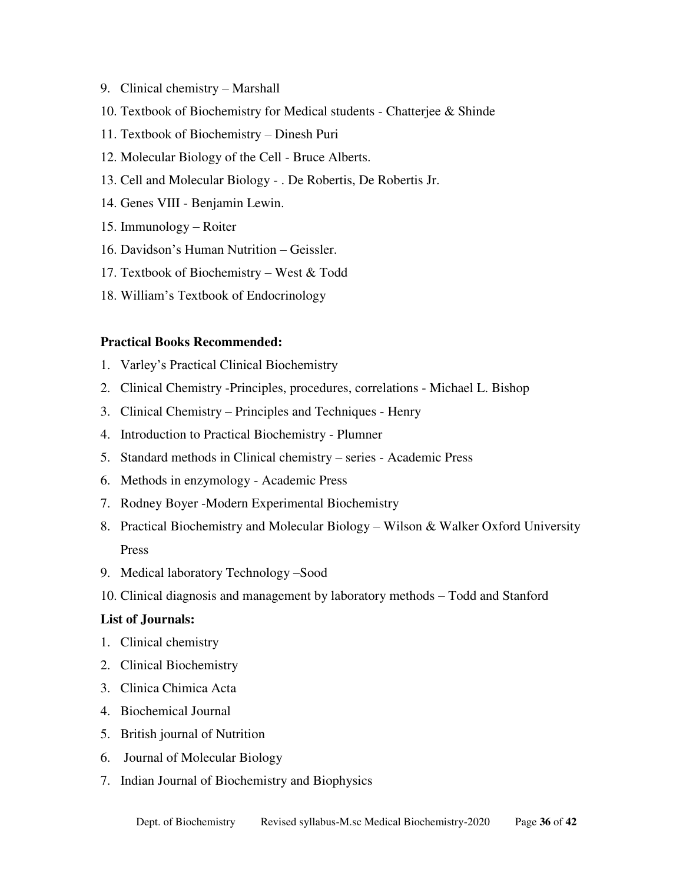- 9. Clinical chemistry Marshall
- 10. Textbook of Biochemistry for Medical students Chatterjee & Shinde
- 11. Textbook of Biochemistry Dinesh Puri
- 12. Molecular Biology of the Cell Bruce Alberts.
- 13. Cell and Molecular Biology . De Robertis, De Robertis Jr.
- 14. Genes VIII Benjamin Lewin.
- 15. Immunology Roiter
- 16. Davidson's Human Nutrition Geissler.
- 17. Textbook of Biochemistry West & Todd
- 18. William's Textbook of Endocrinology

#### **Practical Books Recommended:**

- 1. Varley's Practical Clinical Biochemistry
- 2. Clinical Chemistry -Principles, procedures, correlations Michael L. Bishop
- 3. Clinical Chemistry Principles and Techniques Henry
- 4. Introduction to Practical Biochemistry Plumner
- 5. Standard methods in Clinical chemistry series Academic Press
- 6. Methods in enzymology Academic Press
- 7. Rodney Boyer -Modern Experimental Biochemistry
- 8. Practical Biochemistry and Molecular Biology Wilson & Walker Oxford University Press
- 9. Medical laboratory Technology –Sood
- 10. Clinical diagnosis and management by laboratory methods Todd and Stanford

#### **List of Journals:**

- 1. Clinical chemistry
- 2. Clinical Biochemistry
- 3. Clinica Chimica Acta
- 4. Biochemical Journal
- 5. British journal of Nutrition
- 6. Journal of Molecular Biology
- 7. Indian Journal of Biochemistry and Biophysics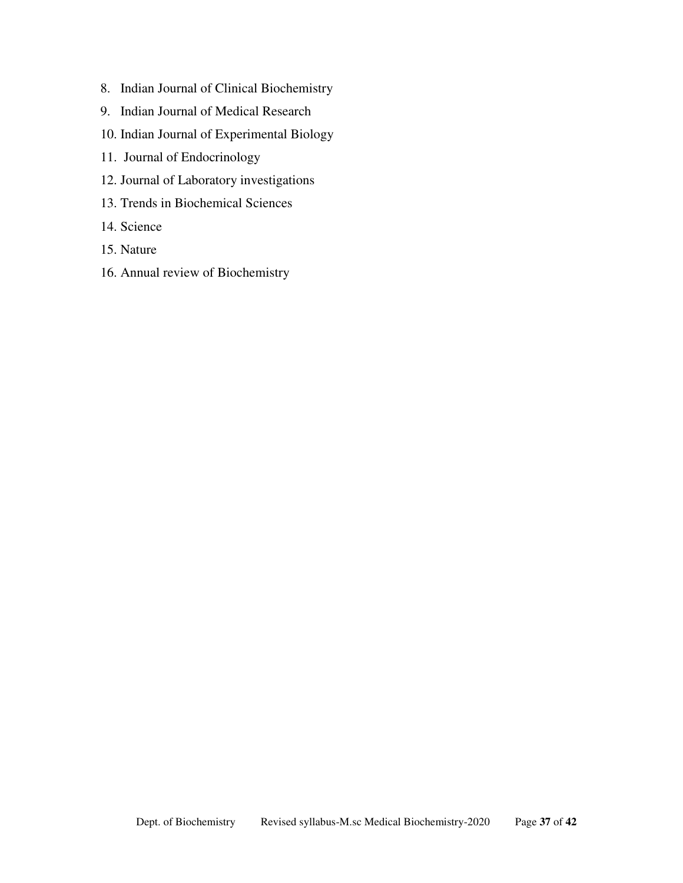- 8. Indian Journal of Clinical Biochemistry
- 9. Indian Journal of Medical Research
- 10. Indian Journal of Experimental Biology
- 11. Journal of Endocrinology
- 12. Journal of Laboratory investigations
- 13. Trends in Biochemical Sciences
- 14. Science
- 15. Nature
- 16. Annual review of Biochemistry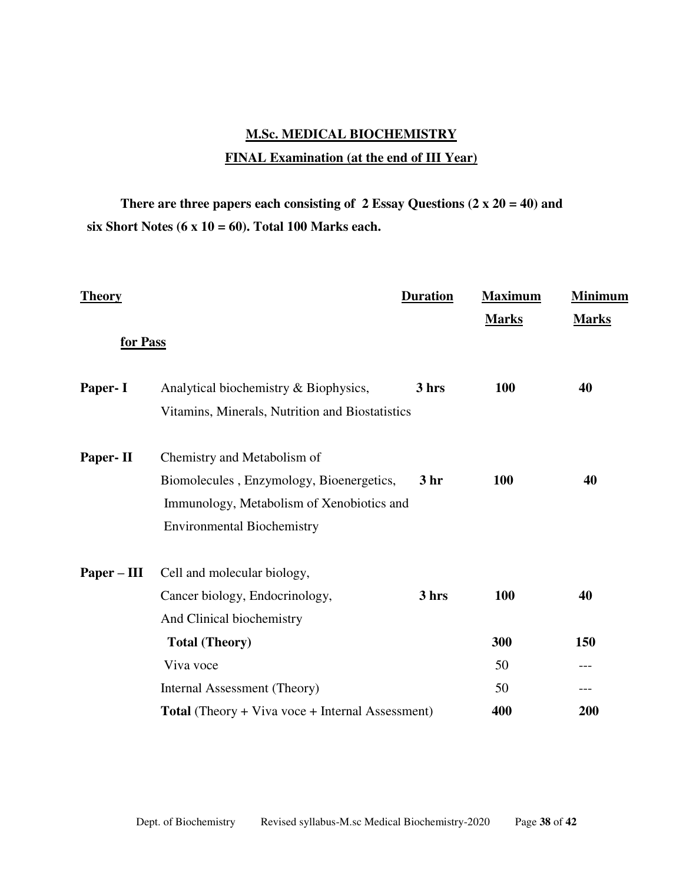# **M.Sc. MEDICAL BIOCHEMISTRY FINAL Examination (at the end of III Year)**

 **There are three papers each consisting of 2 Essay Questions (2 x 20 = 40) and six Short Notes (6 x 10 = 60). Total 100 Marks each.** 

| <b>Theory</b> |                                                         | <b>Duration</b> | <b>Maximum</b> | <b>Minimum</b> |
|---------------|---------------------------------------------------------|-----------------|----------------|----------------|
|               |                                                         |                 | <b>Marks</b>   | <b>Marks</b>   |
| for Pass      |                                                         |                 |                |                |
| Paper- I      | Analytical biochemistry & Biophysics,                   | 3 hrs           | 100            | 40             |
|               | Vitamins, Minerals, Nutrition and Biostatistics         |                 |                |                |
| Paper-II      | Chemistry and Metabolism of                             |                 |                |                |
|               | Biomolecules, Enzymology, Bioenergetics,                | 3 <sub>hr</sub> | 100            | 40             |
|               | Immunology, Metabolism of Xenobiotics and               |                 |                |                |
|               | <b>Environmental Biochemistry</b>                       |                 |                |                |
| Paper – III   | Cell and molecular biology,                             |                 |                |                |
|               | Cancer biology, Endocrinology,                          | 3 hrs           | 100            | 40             |
|               | And Clinical biochemistry                               |                 |                |                |
|               | <b>Total (Theory)</b>                                   |                 | 300            | 150            |
|               | Viva voce                                               |                 | 50             | ---            |
|               | Internal Assessment (Theory)                            |                 | 50             | ---            |
|               | <b>Total</b> (Theory + Viva voce + Internal Assessment) |                 | 400            | 200            |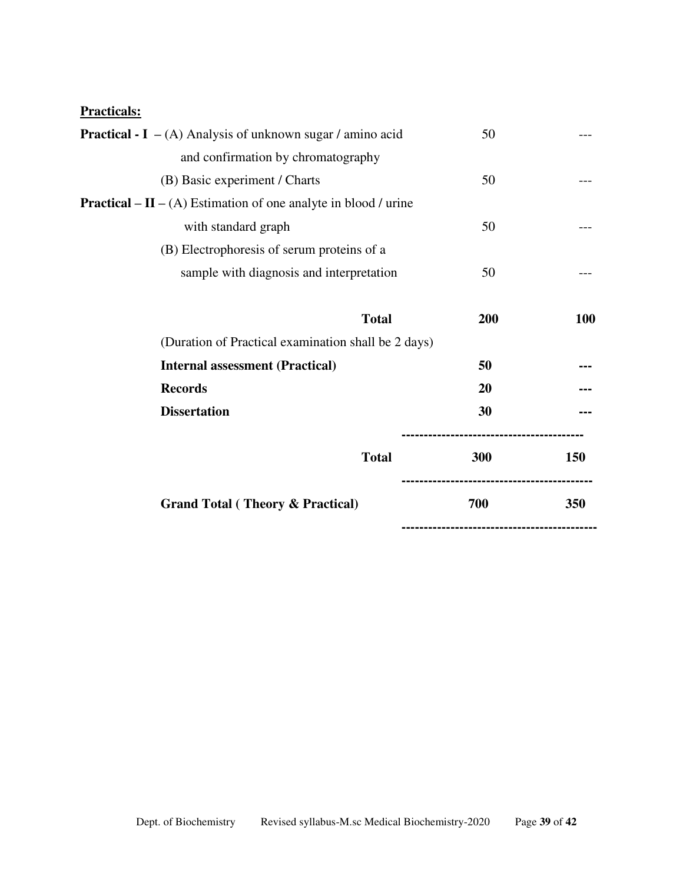## **Practicals:**

| <b>Practical - I</b> $-$ (A) Analysis of unknown sugar / amino acid    | 50  |            |
|------------------------------------------------------------------------|-----|------------|
| and confirmation by chromatography                                     |     |            |
| (B) Basic experiment / Charts                                          | 50  |            |
| <b>Practical – II –</b> (A) Estimation of one analyte in blood / urine |     |            |
| with standard graph                                                    | 50  |            |
| (B) Electrophoresis of serum proteins of a                             |     |            |
| sample with diagnosis and interpretation                               | 50  |            |
| <b>Total</b>                                                           | 200 | <b>100</b> |
| (Duration of Practical examination shall be 2 days)                    |     |            |
| <b>Internal assessment (Practical)</b>                                 | 50  |            |
| <b>Records</b>                                                         | 20  |            |
| <b>Dissertation</b>                                                    | 30  |            |
| <b>Total</b>                                                           | 300 | 150        |
| <b>Grand Total (Theory &amp; Practical)</b>                            | 700 | 350        |
|                                                                        |     |            |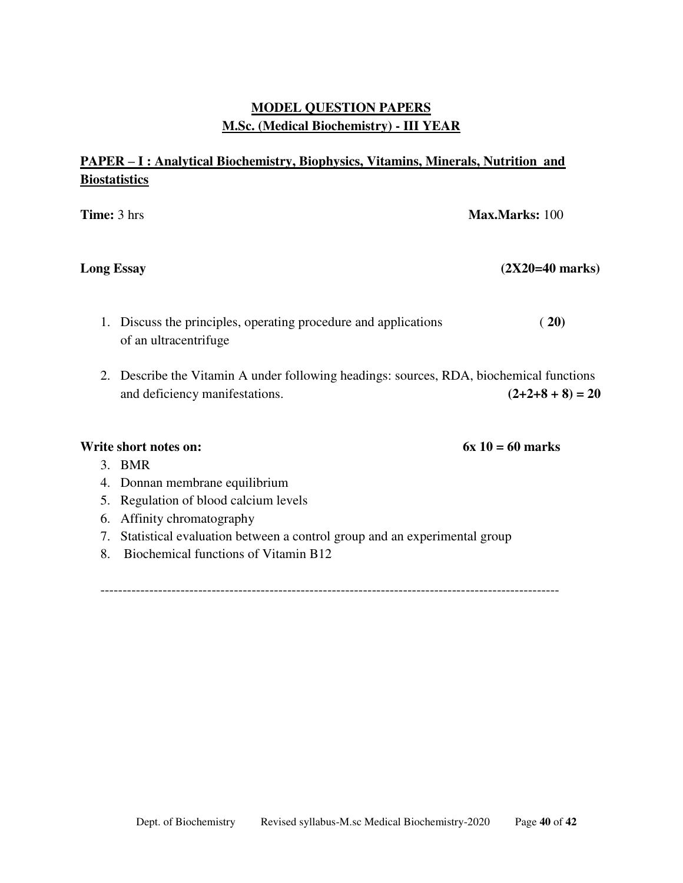# **MODEL QUESTION PAPERS M.Sc. (Medical Biochemistry) - III YEAR**

# **PAPER – I : Analytical Biochemistry, Biophysics, Vitamins, Minerals, Nutrition and Biostatistics**

| <b>Time:</b> 3 hrs |                                                                                                                           | Max.Marks: 100            |
|--------------------|---------------------------------------------------------------------------------------------------------------------------|---------------------------|
| <b>Long Essay</b>  |                                                                                                                           | $(2X20=40 \text{ marks})$ |
| 1.                 | Discuss the principles, operating procedure and applications<br>of an ultracentrifuge                                     | (20)                      |
|                    | 2. Describe the Vitamin A under following headings: sources, RDA, biochemical functions<br>and deficiency manifestations. | $(2+2+8+8) = 20$          |
|                    | Write short notes on:                                                                                                     | $6x 10 = 60$ marks        |
|                    | 3. BMR                                                                                                                    |                           |
| 4.                 | Donnan membrane equilibrium                                                                                               |                           |
| 5.                 | Regulation of blood calcium levels<br>6. Affinity chromatography                                                          |                           |
|                    |                                                                                                                           |                           |

- 7. Statistical evaluation between a control group and an experimental group
- 8. Biochemical functions of Vitamin B12

-------------------------------------------------------------------------------------------------------